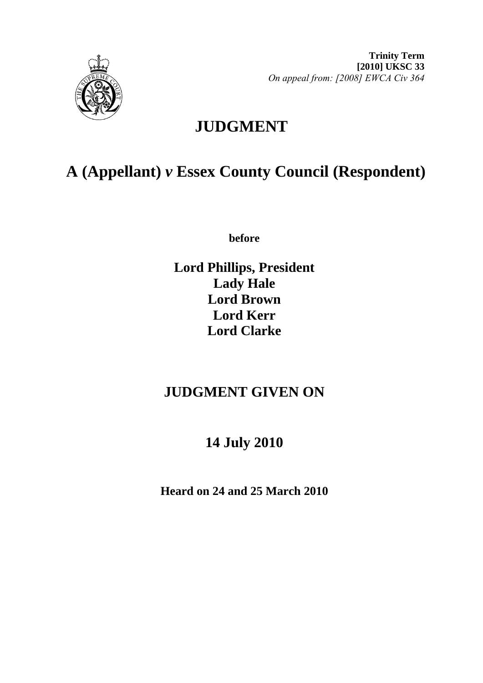

**Trinity Term [2010] UKSC 33**  *On appeal from: [2008] EWCA Civ 364* 

# **JUDGMENT**

# **A (Appellant)** *v* **Essex County Council (Respondent)**

**before** 

**Lord Phillips, President Lady Hale Lord Brown Lord Kerr Lord Clarke**

# **JUDGMENT GIVEN ON**

# **14 July 2010**

**Heard on 24 and 25 March 2010**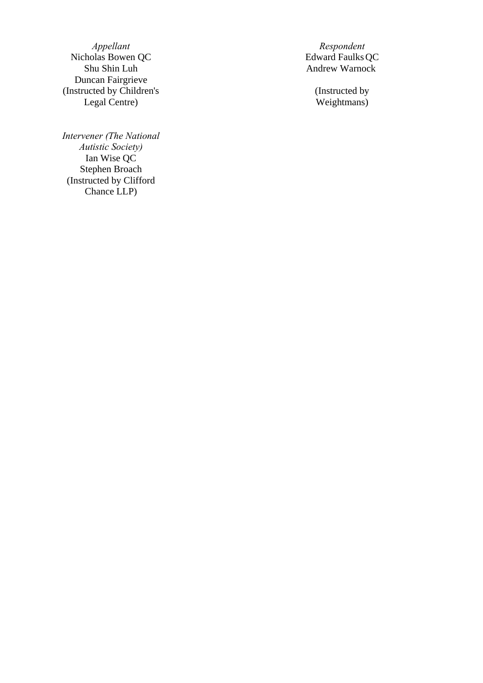Nicholas Bowen  $QC$ Shu Shin Luh Duncan Fairgrieve (Instructed by Children's Legal Centre)

*Intervener (The National Autistic Society)*  Ian Wise QC Stephen Broach (Instructed by Clifford Chance LLP)

*Appellant* Respondent Respondent Respondent Respondent Respondent Respondent Respondent Respondent Respondent Andrew Warnock

> (Instructed by Weightmans)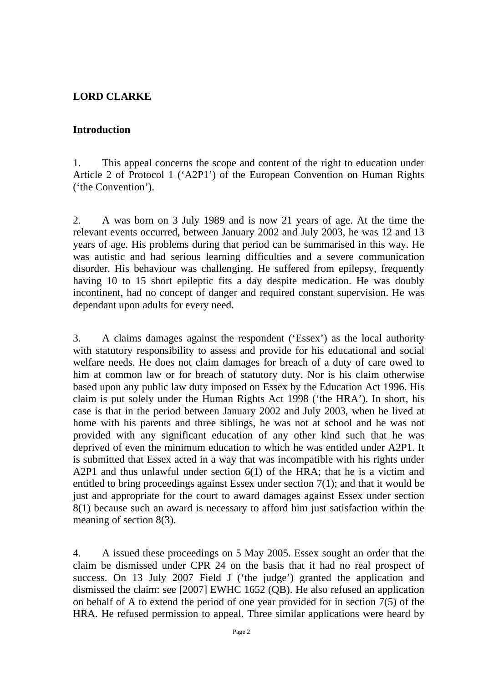#### **LORD CLARKE**

#### **Introduction**

1. This appeal concerns the scope and content of the right to education under Article 2 of Protocol 1 ('A2P1') of the European Convention on Human Rights ('the Convention').

2. A was born on 3 July 1989 and is now 21 years of age. At the time the relevant events occurred, between January 2002 and July 2003, he was 12 and 13 years of age. His problems during that period can be summarised in this way. He was autistic and had serious learning difficulties and a severe communication disorder. His behaviour was challenging. He suffered from epilepsy, frequently having 10 to 15 short epileptic fits a day despite medication. He was doubly incontinent, had no concept of danger and required constant supervision. He was dependant upon adults for every need.

3. A claims damages against the respondent ('Essex') as the local authority with statutory responsibility to assess and provide for his educational and social welfare needs. He does not claim damages for breach of a duty of care owed to him at common law or for breach of statutory duty. Nor is his claim otherwise based upon any public law duty imposed on Essex by the Education Act 1996. His claim is put solely under the Human Rights Act 1998 ('the HRA'). In short, his case is that in the period between January 2002 and July 2003, when he lived at home with his parents and three siblings, he was not at school and he was not provided with any significant education of any other kind such that he was deprived of even the minimum education to which he was entitled under A2P1. It is submitted that Essex acted in a way that was incompatible with his rights under A2P1 and thus unlawful under section 6(1) of the HRA; that he is a victim and entitled to bring proceedings against Essex under section 7(1); and that it would be just and appropriate for the court to award damages against Essex under section 8(1) because such an award is necessary to afford him just satisfaction within the meaning of section 8(3).

4. A issued these proceedings on 5 May 2005. Essex sought an order that the claim be dismissed under CPR 24 on the basis that it had no real prospect of success. On 13 July 2007 Field J ('the judge') granted the application and dismissed the claim: see [2007] EWHC 1652 (QB). He also refused an application on behalf of A to extend the period of one year provided for in section 7(5) of the HRA. He refused permission to appeal. Three similar applications were heard by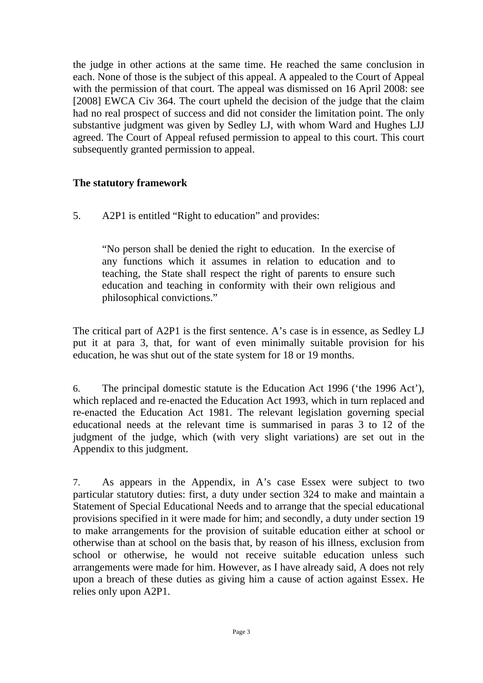the judge in other actions at the same time. He reached the same conclusion in each. None of those is the subject of this appeal. A appealed to the Court of Appeal with the permission of that court. The appeal was dismissed on 16 April 2008: see [2008] EWCA Civ 364. The court upheld the decision of the judge that the claim had no real prospect of success and did not consider the limitation point. The only substantive judgment was given by Sedley LJ, with whom Ward and Hughes LJJ agreed. The Court of Appeal refused permission to appeal to this court. This court subsequently granted permission to appeal.

#### **The statutory framework**

5. A2P1 is entitled "Right to education" and provides:

"No person shall be denied the right to education. In the exercise of any functions which it assumes in relation to education and to teaching, the State shall respect the right of parents to ensure such education and teaching in conformity with their own religious and philosophical convictions."

The critical part of A2P1 is the first sentence. A's case is in essence, as Sedley LJ put it at para 3, that, for want of even minimally suitable provision for his education, he was shut out of the state system for 18 or 19 months.

6. The principal domestic statute is the Education Act 1996 ('the 1996 Act'), which replaced and re-enacted the Education Act 1993, which in turn replaced and re-enacted the Education Act 1981. The relevant legislation governing special educational needs at the relevant time is summarised in paras 3 to 12 of the judgment of the judge, which (with very slight variations) are set out in the Appendix to this judgment.

7. As appears in the Appendix, in A's case Essex were subject to two particular statutory duties: first, a duty under section 324 to make and maintain a Statement of Special Educational Needs and to arrange that the special educational provisions specified in it were made for him; and secondly, a duty under section 19 to make arrangements for the provision of suitable education either at school or otherwise than at school on the basis that, by reason of his illness, exclusion from school or otherwise, he would not receive suitable education unless such arrangements were made for him. However, as I have already said, A does not rely upon a breach of these duties as giving him a cause of action against Essex. He relies only upon A2P1.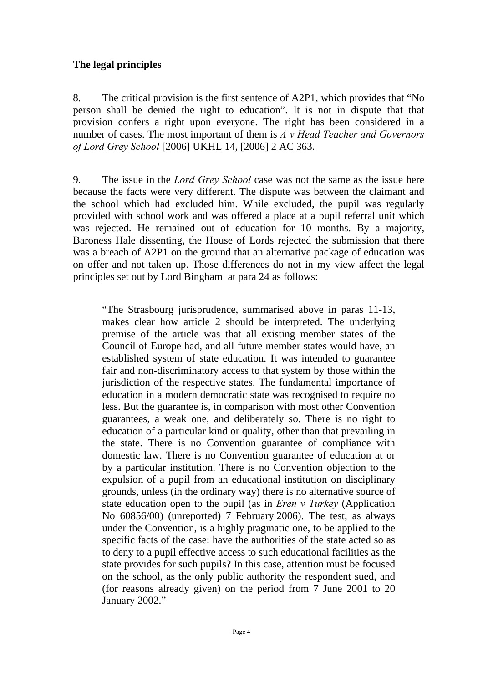# **The legal principles**

8. The critical provision is the first sentence of A2P1, which provides that "No person shall be denied the right to education". It is not in dispute that that provision confers a right upon everyone. The right has been considered in a number of cases. The most important of them is *A v Head Teacher and Governors of Lord Grey School* [2006] UKHL 14, [2006] 2 AC 363.

9. The issue in the *Lord Grey School* case was not the same as the issue here because the facts were very different. The dispute was between the claimant and the school which had excluded him. While excluded, the pupil was regularly provided with school work and was offered a place at a pupil referral unit which was rejected. He remained out of education for 10 months. By a majority, Baroness Hale dissenting, the House of Lords rejected the submission that there was a breach of A2P1 on the ground that an alternative package of education was on offer and not taken up. Those differences do not in my view affect the legal principles set out by Lord Bingham at para 24 as follows:

"The Strasbourg jurisprudence, summarised above in paras 11-13, makes clear how article 2 should be interpreted. The underlying premise of the article was that all existing member states of the Council of Europe had, and all future member states would have, an established system of state education. It was intended to guarantee fair and non-discriminatory access to that system by those within the jurisdiction of the respective states. The fundamental importance of education in a modern democratic state was recognised to require no less. But the guarantee is, in comparison with most other Convention guarantees, a weak one, and deliberately so. There is no right to education of a particular kind or quality, other than that prevailing in the state. There is no Convention guarantee of compliance with domestic law. There is no Convention guarantee of education at or by a particular institution. There is no Convention objection to the expulsion of a pupil from an educational institution on disciplinary grounds, unless (in the ordinary way) there is no alternative source of state education open to the pupil (as in *Eren v Turkey* (Application No 60856/00) (unreported) 7 February 2006). The test, as always under the Convention, is a highly pragmatic one, to be applied to the specific facts of the case: have the authorities of the state acted so as to deny to a pupil effective access to such educational facilities as the state provides for such pupils? In this case, attention must be focused on the school, as the only public authority the respondent sued, and (for reasons already given) on the period from 7 June 2001 to 20 January 2002."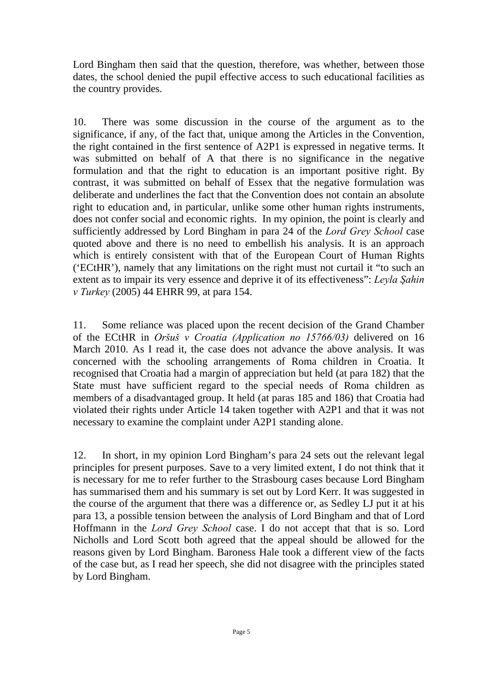Lord Bingham then said that the question, therefore, was whether, between those dates, the school denied the pupil effective access to such educational facilities as the country provides.

10. There was some discussion in the course of the argument as to the significance, if any, of the fact that, unique among the Articles in the Convention, the right contained in the first sentence of A2P1 is expressed in negative terms. It was submitted on behalf of A that there is no significance in the negative formulation and that the right to education is an important positive right. By contrast, it was submitted on behalf of Essex that the negative formulation was deliberate and underlines the fact that the Convention does not contain an absolute right to education and, in particular, unlike some other human rights instruments, does not confer social and economic rights. In my opinion, the point is clearly and sufficiently addressed by Lord Bingham in para 24 of the *Lord Grey School* case quoted above and there is no need to embellish his analysis. It is an approach which is entirely consistent with that of the European Court of Human Rights ('ECtHR'), namely that any limitations on the right must not curtail it "to such an extent as to impair its very essence and deprive it of its effectiveness": *Leyla Şahin v Turkey* (2005) 44 EHRR 99, at para 154.

11. Some reliance was placed upon the recent decision of the Grand Chamber of the ECtHR in *Oršuš v Croatia (Application no 15766/03)* delivered on 16 March 2010. As I read it, the case does not advance the above analysis. It was concerned with the schooling arrangements of Roma children in Croatia. It recognised that Croatia had a margin of appreciation but held (at para 182) that the State must have sufficient regard to the special needs of Roma children as members of a disadvantaged group. It held (at paras 185 and 186) that Croatia had violated their rights under Article 14 taken together with A2P1 and that it was not necessary to examine the complaint under A2P1 standing alone.

12. In short, in my opinion Lord Bingham's para 24 sets out the relevant legal principles for present purposes. Save to a very limited extent, I do not think that it is necessary for me to refer further to the Strasbourg cases because Lord Bingham has summarised them and his summary is set out by Lord Kerr. It was suggested in the course of the argument that there was a difference or, as Sedley LJ put it at his para 13, a possible tension between the analysis of Lord Bingham and that of Lord Hoffmann in the *Lord Grey School* case. I do not accept that that is so. Lord Nicholls and Lord Scott both agreed that the appeal should be allowed for the reasons given by Lord Bingham. Baroness Hale took a different view of the facts of the case but, as I read her speech, she did not disagree with the principles stated by Lord Bingham.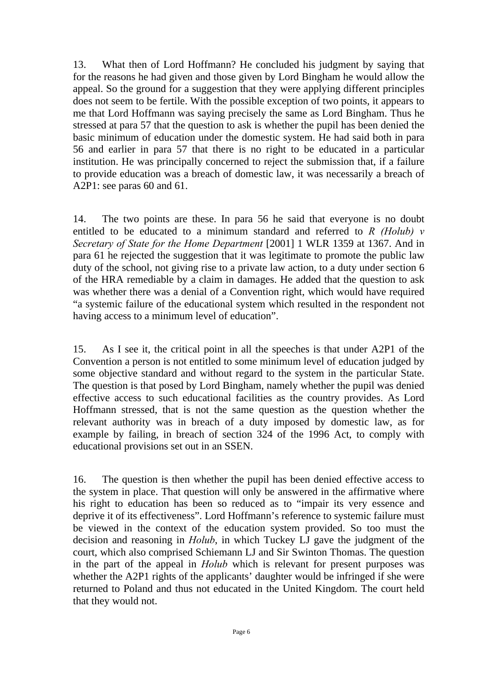13. What then of Lord Hoffmann? He concluded his judgment by saying that for the reasons he had given and those given by Lord Bingham he would allow the appeal. So the ground for a suggestion that they were applying different principles does not seem to be fertile. With the possible exception of two points, it appears to me that Lord Hoffmann was saying precisely the same as Lord Bingham. Thus he stressed at para 57 that the question to ask is whether the pupil has been denied the basic minimum of education under the domestic system. He had said both in para 56 and earlier in para 57 that there is no right to be educated in a particular institution. He was principally concerned to reject the submission that, if a failure to provide education was a breach of domestic law, it was necessarily a breach of A2P1: see paras 60 and 61.

14. The two points are these. In para 56 he said that everyone is no doubt entitled to be educated to a minimum standard and referred to *R (Holub) v Secretary of State for the Home Department* [2001] 1 WLR 1359 at 1367. And in para 61 he rejected the suggestion that it was legitimate to promote the public law duty of the school, not giving rise to a private law action, to a duty under section 6 of the HRA remediable by a claim in damages. He added that the question to ask was whether there was a denial of a Convention right, which would have required "a systemic failure of the educational system which resulted in the respondent not having access to a minimum level of education".

15. As I see it, the critical point in all the speeches is that under A2P1 of the Convention a person is not entitled to some minimum level of education judged by some objective standard and without regard to the system in the particular State. The question is that posed by Lord Bingham, namely whether the pupil was denied effective access to such educational facilities as the country provides. As Lord Hoffmann stressed, that is not the same question as the question whether the relevant authority was in breach of a duty imposed by domestic law, as for example by failing, in breach of section 324 of the 1996 Act, to comply with educational provisions set out in an SSEN.

16. The question is then whether the pupil has been denied effective access to the system in place. That question will only be answered in the affirmative where his right to education has been so reduced as to "impair its very essence and deprive it of its effectiveness". Lord Hoffmann's reference to systemic failure must be viewed in the context of the education system provided. So too must the decision and reasoning in *Holub*, in which Tuckey LJ gave the judgment of the court, which also comprised Schiemann LJ and Sir Swinton Thomas. The question in the part of the appeal in *Holub* which is relevant for present purposes was whether the A2P1 rights of the applicants' daughter would be infringed if she were returned to Poland and thus not educated in the United Kingdom. The court held that they would not.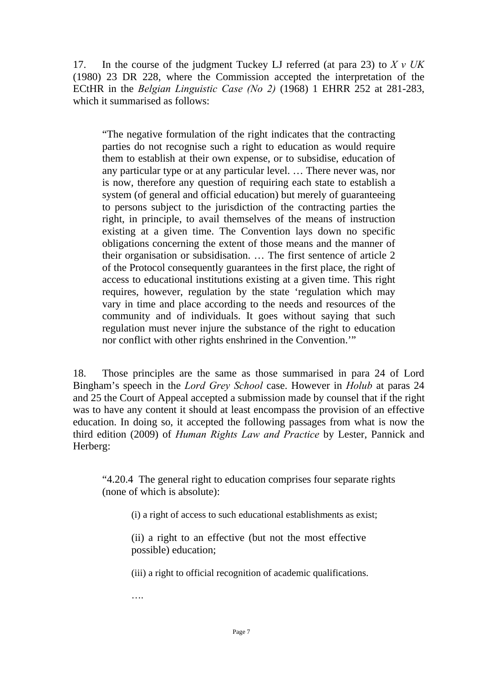17. In the course of the judgment Tuckey LJ referred (at para 23) to *X v UK* (1980) 23 DR 228, where the Commission accepted the interpretation of the ECtHR in the *Belgian Linguistic Case (No 2)* (1968) 1 EHRR 252 at 281-283, which it summarised as follows:

"The negative formulation of the right indicates that the contracting parties do not recognise such a right to education as would require them to establish at their own expense, or to subsidise, education of any particular type or at any particular level. … There never was, nor is now, therefore any question of requiring each state to establish a system (of general and official education) but merely of guaranteeing to persons subject to the jurisdiction of the contracting parties the right, in principle, to avail themselves of the means of instruction existing at a given time. The Convention lays down no specific obligations concerning the extent of those means and the manner of their organisation or subsidisation. … The first sentence of article 2 of the Protocol consequently guarantees in the first place, the right of access to educational institutions existing at a given time. This right requires, however, regulation by the state 'regulation which may vary in time and place according to the needs and resources of the community and of individuals. It goes without saying that such regulation must never injure the substance of the right to education nor conflict with other rights enshrined in the Convention.'"

18. Those principles are the same as those summarised in para 24 of Lord Bingham's speech in the *Lord Grey School* case. However in *Holub* at paras 24 and 25 the Court of Appeal accepted a submission made by counsel that if the right was to have any content it should at least encompass the provision of an effective education. In doing so, it accepted the following passages from what is now the third edition (2009) of *Human Rights Law and Practice* by Lester, Pannick and Herberg:

"4.20.4 The general right to education comprises four separate rights (none of which is absolute):

(i) a right of access to such educational establishments as exist;

(ii) a right to an effective (but not the most effective possible) education;

(iii) a right to official recognition of academic qualifications.

….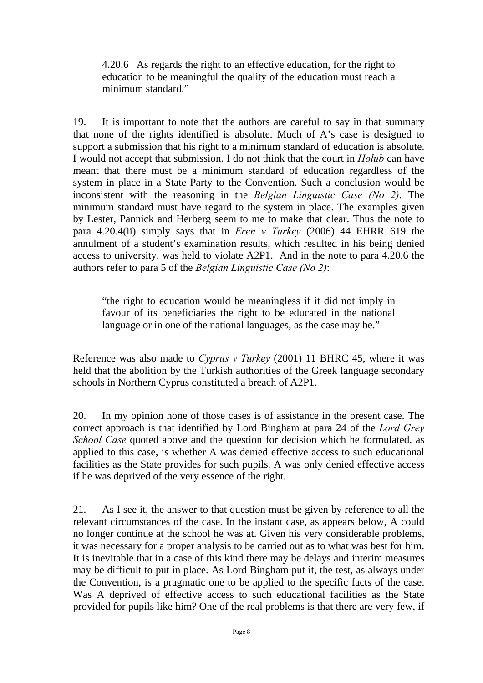4.20.6 As regards the right to an effective education, for the right to education to be meaningful the quality of the education must reach a minimum standard."

19. It is important to note that the authors are careful to say in that summary that none of the rights identified is absolute. Much of A's case is designed to support a submission that his right to a minimum standard of education is absolute. I would not accept that submission. I do not think that the court in *Holub* can have meant that there must be a minimum standard of education regardless of the system in place in a State Party to the Convention. Such a conclusion would be inconsistent with the reasoning in the *Belgian Linguistic Case (No 2)*. The minimum standard must have regard to the system in place. The examples given by Lester, Pannick and Herberg seem to me to make that clear. Thus the note to para 4.20.4(ii) simply says that in *Eren v Turkey* (2006) 44 EHRR 619 the annulment of a student's examination results, which resulted in his being denied access to university, was held to violate A2P1. And in the note to para 4.20.6 the authors refer to para 5 of the *Belgian Linguistic Case (No 2)*:

"the right to education would be meaningless if it did not imply in favour of its beneficiaries the right to be educated in the national language or in one of the national languages, as the case may be."

Reference was also made to *Cyprus v Turkey* (2001) 11 BHRC 45, where it was held that the abolition by the Turkish authorities of the Greek language secondary schools in Northern Cyprus constituted a breach of A2P1.

20. In my opinion none of those cases is of assistance in the present case. The correct approach is that identified by Lord Bingham at para 24 of the *Lord Grey School Case* quoted above and the question for decision which he formulated, as applied to this case, is whether A was denied effective access to such educational facilities as the State provides for such pupils. A was only denied effective access if he was deprived of the very essence of the right.

21. As I see it, the answer to that question must be given by reference to all the relevant circumstances of the case. In the instant case, as appears below, A could no longer continue at the school he was at. Given his very considerable problems, it was necessary for a proper analysis to be carried out as to what was best for him. It is inevitable that in a case of this kind there may be delays and interim measures may be difficult to put in place. As Lord Bingham put it, the test, as always under the Convention, is a pragmatic one to be applied to the specific facts of the case. Was A deprived of effective access to such educational facilities as the State provided for pupils like him? One of the real problems is that there are very few, if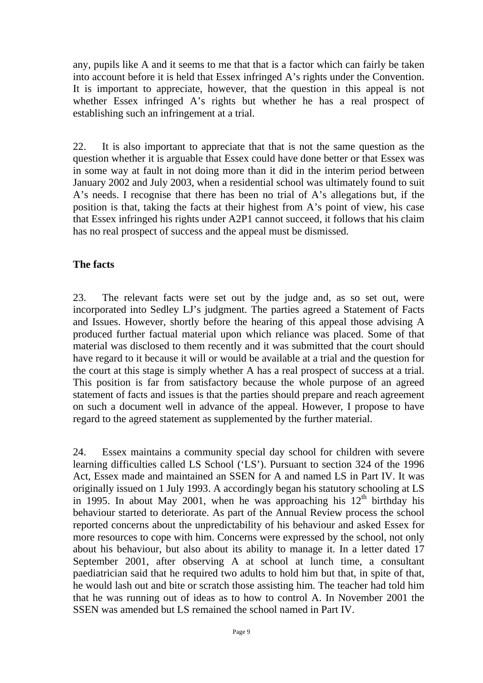any, pupils like A and it seems to me that that is a factor which can fairly be taken into account before it is held that Essex infringed A's rights under the Convention. It is important to appreciate, however, that the question in this appeal is not whether Essex infringed A's rights but whether he has a real prospect of establishing such an infringement at a trial.

22. It is also important to appreciate that that is not the same question as the question whether it is arguable that Essex could have done better or that Essex was in some way at fault in not doing more than it did in the interim period between January 2002 and July 2003, when a residential school was ultimately found to suit A's needs. I recognise that there has been no trial of A's allegations but, if the position is that, taking the facts at their highest from A's point of view, his case that Essex infringed his rights under A2P1 cannot succeed, it follows that his claim has no real prospect of success and the appeal must be dismissed.

#### **The facts**

23. The relevant facts were set out by the judge and, as so set out, were incorporated into Sedley LJ's judgment. The parties agreed a Statement of Facts and Issues. However, shortly before the hearing of this appeal those advising A produced further factual material upon which reliance was placed. Some of that material was disclosed to them recently and it was submitted that the court should have regard to it because it will or would be available at a trial and the question for the court at this stage is simply whether A has a real prospect of success at a trial. This position is far from satisfactory because the whole purpose of an agreed statement of facts and issues is that the parties should prepare and reach agreement on such a document well in advance of the appeal. However, I propose to have regard to the agreed statement as supplemented by the further material.

24. Essex maintains a community special day school for children with severe learning difficulties called LS School ('LS'). Pursuant to section 324 of the 1996 Act, Essex made and maintained an SSEN for A and named LS in Part IV. It was originally issued on 1 July 1993. A accordingly began his statutory schooling at LS in 1995. In about May 2001, when he was approaching his  $12<sup>th</sup>$  birthday his behaviour started to deteriorate. As part of the Annual Review process the school reported concerns about the unpredictability of his behaviour and asked Essex for more resources to cope with him. Concerns were expressed by the school, not only about his behaviour, but also about its ability to manage it. In a letter dated 17 September 2001, after observing A at school at lunch time, a consultant paediatrician said that he required two adults to hold him but that, in spite of that, he would lash out and bite or scratch those assisting him. The teacher had told him that he was running out of ideas as to how to control A. In November 2001 the SSEN was amended but LS remained the school named in Part IV.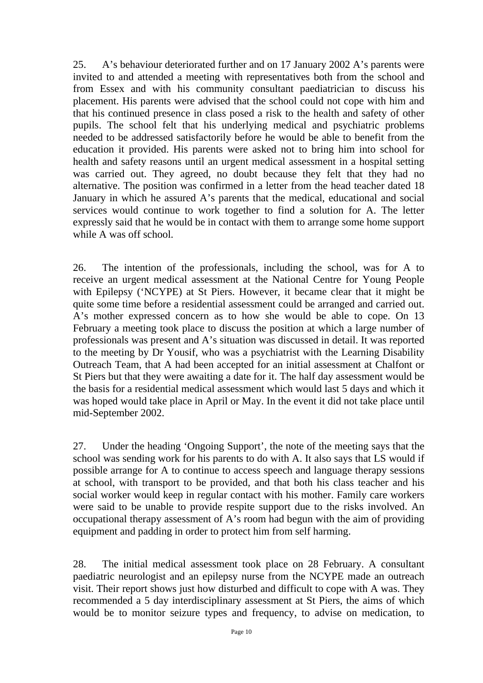25. A's behaviour deteriorated further and on 17 January 2002 A's parents were invited to and attended a meeting with representatives both from the school and from Essex and with his community consultant paediatrician to discuss his placement. His parents were advised that the school could not cope with him and that his continued presence in class posed a risk to the health and safety of other pupils. The school felt that his underlying medical and psychiatric problems needed to be addressed satisfactorily before he would be able to benefit from the education it provided. His parents were asked not to bring him into school for health and safety reasons until an urgent medical assessment in a hospital setting was carried out. They agreed, no doubt because they felt that they had no alternative. The position was confirmed in a letter from the head teacher dated 18 January in which he assured A's parents that the medical, educational and social services would continue to work together to find a solution for A. The letter expressly said that he would be in contact with them to arrange some home support while A was off school.

26. The intention of the professionals, including the school, was for A to receive an urgent medical assessment at the National Centre for Young People with Epilepsy ('NCYPE) at St Piers. However, it became clear that it might be quite some time before a residential assessment could be arranged and carried out. A's mother expressed concern as to how she would be able to cope. On 13 February a meeting took place to discuss the position at which a large number of professionals was present and A's situation was discussed in detail. It was reported to the meeting by Dr Yousif, who was a psychiatrist with the Learning Disability Outreach Team, that A had been accepted for an initial assessment at Chalfont or St Piers but that they were awaiting a date for it. The half day assessment would be the basis for a residential medical assessment which would last 5 days and which it was hoped would take place in April or May. In the event it did not take place until mid-September 2002.

27. Under the heading 'Ongoing Support', the note of the meeting says that the school was sending work for his parents to do with A. It also says that LS would if possible arrange for A to continue to access speech and language therapy sessions at school, with transport to be provided, and that both his class teacher and his social worker would keep in regular contact with his mother. Family care workers were said to be unable to provide respite support due to the risks involved. An occupational therapy assessment of A's room had begun with the aim of providing equipment and padding in order to protect him from self harming.

28. The initial medical assessment took place on 28 February. A consultant paediatric neurologist and an epilepsy nurse from the NCYPE made an outreach visit. Their report shows just how disturbed and difficult to cope with A was. They recommended a 5 day interdisciplinary assessment at St Piers, the aims of which would be to monitor seizure types and frequency, to advise on medication, to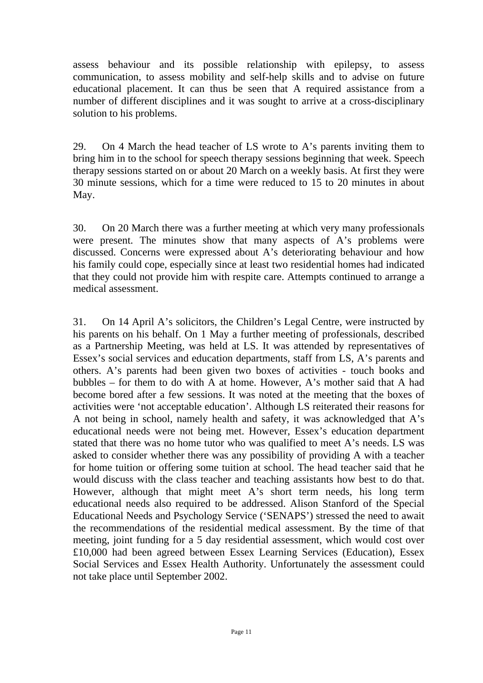assess behaviour and its possible relationship with epilepsy, to assess communication, to assess mobility and self-help skills and to advise on future educational placement. It can thus be seen that A required assistance from a number of different disciplines and it was sought to arrive at a cross-disciplinary solution to his problems.

29. On 4 March the head teacher of LS wrote to A's parents inviting them to bring him in to the school for speech therapy sessions beginning that week. Speech therapy sessions started on or about 20 March on a weekly basis. At first they were 30 minute sessions, which for a time were reduced to 15 to 20 minutes in about May.

30. On 20 March there was a further meeting at which very many professionals were present. The minutes show that many aspects of A's problems were discussed. Concerns were expressed about A's deteriorating behaviour and how his family could cope, especially since at least two residential homes had indicated that they could not provide him with respite care. Attempts continued to arrange a medical assessment.

31. On 14 April A's solicitors, the Children's Legal Centre, were instructed by his parents on his behalf. On 1 May a further meeting of professionals, described as a Partnership Meeting, was held at LS. It was attended by representatives of Essex's social services and education departments, staff from LS, A's parents and others. A's parents had been given two boxes of activities - touch books and bubbles – for them to do with A at home. However, A's mother said that A had become bored after a few sessions. It was noted at the meeting that the boxes of activities were 'not acceptable education'. Although LS reiterated their reasons for A not being in school, namely health and safety, it was acknowledged that A's educational needs were not being met. However, Essex's education department stated that there was no home tutor who was qualified to meet A's needs. LS was asked to consider whether there was any possibility of providing A with a teacher for home tuition or offering some tuition at school. The head teacher said that he would discuss with the class teacher and teaching assistants how best to do that. However, although that might meet A's short term needs, his long term educational needs also required to be addressed. Alison Stanford of the Special Educational Needs and Psychology Service ('SENAPS') stressed the need to await the recommendations of the residential medical assessment. By the time of that meeting, joint funding for a 5 day residential assessment, which would cost over £10,000 had been agreed between Essex Learning Services (Education), Essex Social Services and Essex Health Authority. Unfortunately the assessment could not take place until September 2002.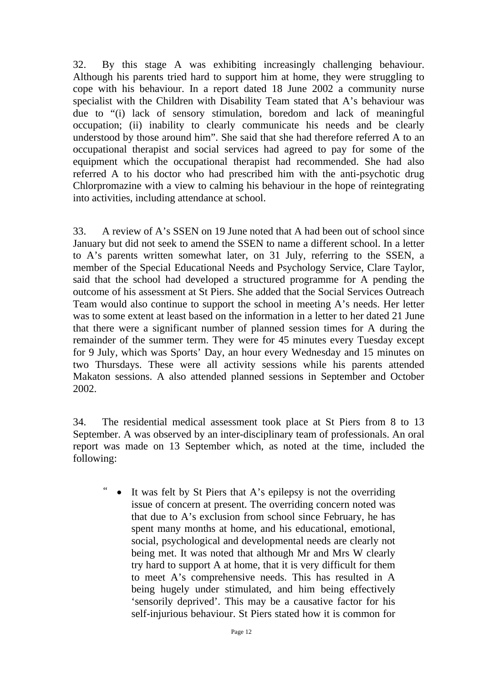32. By this stage A was exhibiting increasingly challenging behaviour. Although his parents tried hard to support him at home, they were struggling to cope with his behaviour. In a report dated 18 June 2002 a community nurse specialist with the Children with Disability Team stated that A's behaviour was due to "(i) lack of sensory stimulation, boredom and lack of meaningful occupation; (ii) inability to clearly communicate his needs and be clearly understood by those around him". She said that she had therefore referred A to an occupational therapist and social services had agreed to pay for some of the equipment which the occupational therapist had recommended. She had also referred A to his doctor who had prescribed him with the anti-psychotic drug Chlorpromazine with a view to calming his behaviour in the hope of reintegrating into activities, including attendance at school.

33. A review of A's SSEN on 19 June noted that A had been out of school since January but did not seek to amend the SSEN to name a different school. In a letter to A's parents written somewhat later, on 31 July, referring to the SSEN, a member of the Special Educational Needs and Psychology Service, Clare Taylor, said that the school had developed a structured programme for A pending the outcome of his assessment at St Piers. She added that the Social Services Outreach Team would also continue to support the school in meeting A's needs. Her letter was to some extent at least based on the information in a letter to her dated 21 June that there were a significant number of planned session times for A during the remainder of the summer term. They were for 45 minutes every Tuesday except for 9 July, which was Sports' Day, an hour every Wednesday and 15 minutes on two Thursdays. These were all activity sessions while his parents attended Makaton sessions. A also attended planned sessions in September and October 2002.

34. The residential medical assessment took place at St Piers from 8 to 13 September. A was observed by an inter-disciplinary team of professionals. An oral report was made on 13 September which, as noted at the time, included the following:

 It was felt by St Piers that A's epilepsy is not the overriding issue of concern at present. The overriding concern noted was that due to A's exclusion from school since February, he has spent many months at home, and his educational, emotional, social, psychological and developmental needs are clearly not being met. It was noted that although Mr and Mrs W clearly try hard to support A at home, that it is very difficult for them to meet A's comprehensive needs. This has resulted in A being hugely under stimulated, and him being effectively 'sensorily deprived'. This may be a causative factor for his self-injurious behaviour. St Piers stated how it is common for "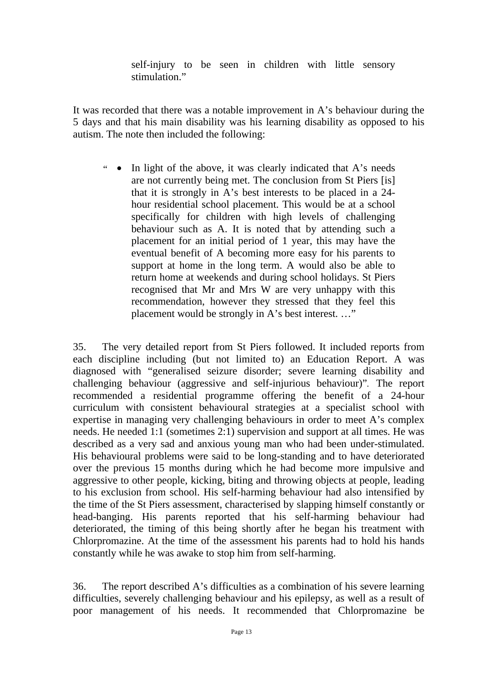self-injury to be seen in children with little sensory stimulation."

It was recorded that there was a notable improvement in A's behaviour during the 5 days and that his main disability was his learning disability as opposed to his autism. The note then included the following:

 In light of the above, it was clearly indicated that A's needs are not currently being met. The conclusion from St Piers [is] that it is strongly in A's best interests to be placed in a 24 hour residential school placement. This would be at a school specifically for children with high levels of challenging behaviour such as A. It is noted that by attending such a placement for an initial period of 1 year, this may have the eventual benefit of A becoming more easy for his parents to support at home in the long term. A would also be able to return home at weekends and during school holidays. St Piers recognised that Mr and Mrs W are very unhappy with this recommendation, however they stressed that they feel this placement would be strongly in A's best interest. …"  $\ddot{ }$   $\ddot{ }$   $\ddot{ }$ 

35. The very detailed report from St Piers followed. It included reports from each discipline including (but not limited to) an Education Report. A was diagnosed with "generalised seizure disorder; severe learning disability and challenging behaviour (aggressive and self-injurious behaviour)"*.* The report recommended a residential programme offering the benefit of a 24-hour curriculum with consistent behavioural strategies at a specialist school with expertise in managing very challenging behaviours in order to meet A's complex needs. He needed 1:1 (sometimes 2:1) supervision and support at all times. He was described as a very sad and anxious young man who had been under-stimulated. His behavioural problems were said to be long-standing and to have deteriorated over the previous 15 months during which he had become more impulsive and aggressive to other people, kicking, biting and throwing objects at people, leading to his exclusion from school. His self-harming behaviour had also intensified by the time of the St Piers assessment, characterised by slapping himself constantly or head-banging. His parents reported that his self-harming behaviour had deteriorated, the timing of this being shortly after he began his treatment with Chlorpromazine. At the time of the assessment his parents had to hold his hands constantly while he was awake to stop him from self-harming.

36. The report described A's difficulties as a combination of his severe learning difficulties, severely challenging behaviour and his epilepsy, as well as a result of poor management of his needs. It recommended that Chlorpromazine be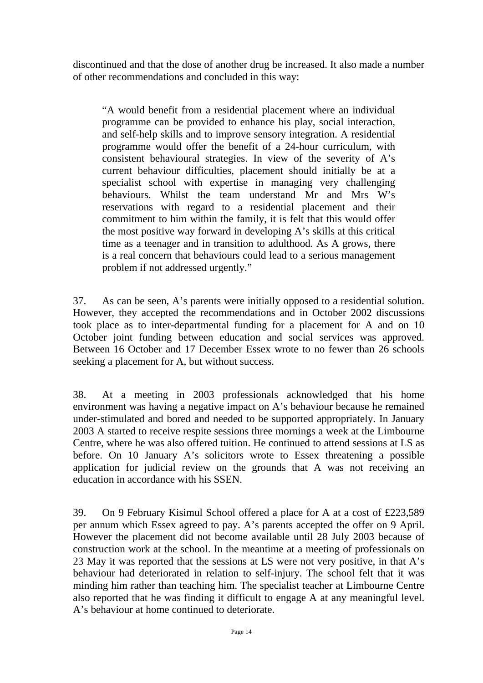discontinued and that the dose of another drug be increased. It also made a number of other recommendations and concluded in this way:

"A would benefit from a residential placement where an individual programme can be provided to enhance his play, social interaction, and self-help skills and to improve sensory integration. A residential programme would offer the benefit of a 24-hour curriculum, with consistent behavioural strategies. In view of the severity of A's current behaviour difficulties, placement should initially be at a specialist school with expertise in managing very challenging behaviours. Whilst the team understand Mr and Mrs W's reservations with regard to a residential placement and their commitment to him within the family, it is felt that this would offer the most positive way forward in developing A's skills at this critical time as a teenager and in transition to adulthood. As A grows, there is a real concern that behaviours could lead to a serious management problem if not addressed urgently."

37. As can be seen, A's parents were initially opposed to a residential solution. However, they accepted the recommendations and in October 2002 discussions took place as to inter-departmental funding for a placement for A and on 10 October joint funding between education and social services was approved. Between 16 October and 17 December Essex wrote to no fewer than 26 schools seeking a placement for A, but without success.

38. At a meeting in 2003 professionals acknowledged that his home environment was having a negative impact on A's behaviour because he remained under-stimulated and bored and needed to be supported appropriately. In January 2003 A started to receive respite sessions three mornings a week at the Limbourne Centre, where he was also offered tuition. He continued to attend sessions at LS as before. On 10 January A's solicitors wrote to Essex threatening a possible application for judicial review on the grounds that A was not receiving an education in accordance with his SSEN.

39. On 9 February Kisimul School offered a place for A at a cost of £223,589 per annum which Essex agreed to pay. A's parents accepted the offer on 9 April. However the placement did not become available until 28 July 2003 because of construction work at the school. In the meantime at a meeting of professionals on 23 May it was reported that the sessions at LS were not very positive, in that A's behaviour had deteriorated in relation to self-injury. The school felt that it was minding him rather than teaching him. The specialist teacher at Limbourne Centre also reported that he was finding it difficult to engage A at any meaningful level. A's behaviour at home continued to deteriorate.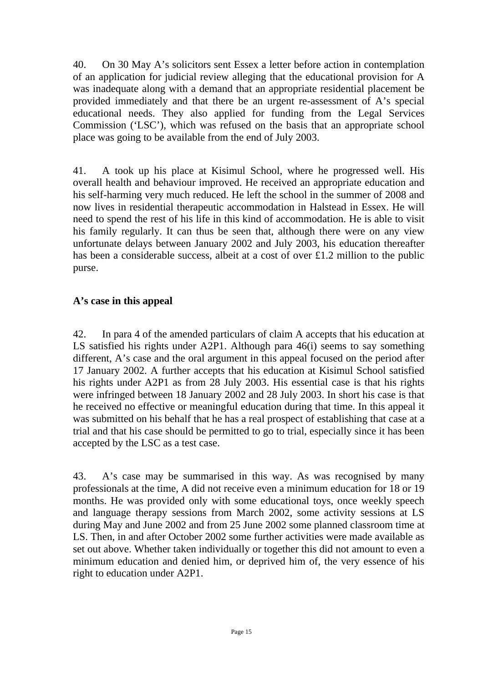40. On 30 May A's solicitors sent Essex a letter before action in contemplation of an application for judicial review alleging that the educational provision for A was inadequate along with a demand that an appropriate residential placement be provided immediately and that there be an urgent re-assessment of A's special educational needs. They also applied for funding from the Legal Services Commission ('LSC'), which was refused on the basis that an appropriate school place was going to be available from the end of July 2003.

41. A took up his place at Kisimul School, where he progressed well. His overall health and behaviour improved. He received an appropriate education and his self-harming very much reduced. He left the school in the summer of 2008 and now lives in residential therapeutic accommodation in Halstead in Essex. He will need to spend the rest of his life in this kind of accommodation. He is able to visit his family regularly. It can thus be seen that, although there were on any view unfortunate delays between January 2002 and July 2003, his education thereafter has been a considerable success, albeit at a cost of over £1.2 million to the public purse.

# **A's case in this appeal**

42. In para 4 of the amended particulars of claim A accepts that his education at LS satisfied his rights under A2P1. Although para 46(i) seems to say something different, A's case and the oral argument in this appeal focused on the period after 17 January 2002. A further accepts that his education at Kisimul School satisfied his rights under A2P1 as from 28 July 2003. His essential case is that his rights were infringed between 18 January 2002 and 28 July 2003. In short his case is that he received no effective or meaningful education during that time. In this appeal it was submitted on his behalf that he has a real prospect of establishing that case at a trial and that his case should be permitted to go to trial, especially since it has been accepted by the LSC as a test case.

43. A's case may be summarised in this way. As was recognised by many professionals at the time, A did not receive even a minimum education for 18 or 19 months. He was provided only with some educational toys, once weekly speech and language therapy sessions from March 2002, some activity sessions at LS during May and June 2002 and from 25 June 2002 some planned classroom time at LS. Then, in and after October 2002 some further activities were made available as set out above. Whether taken individually or together this did not amount to even a minimum education and denied him, or deprived him of, the very essence of his right to education under A2P1.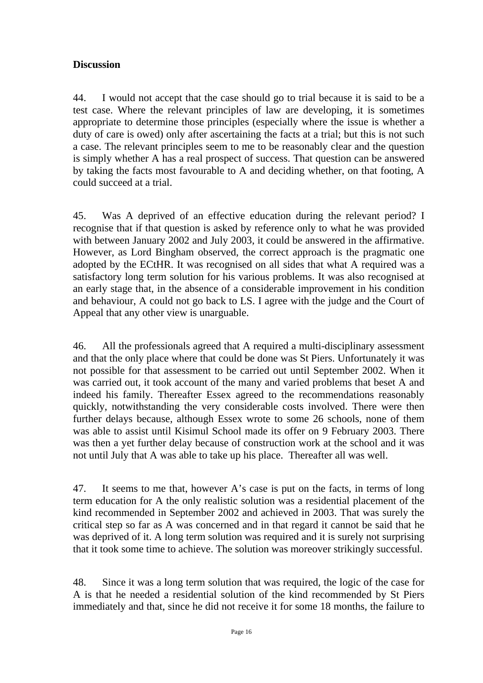# **Discussion**

44. I would not accept that the case should go to trial because it is said to be a test case. Where the relevant principles of law are developing, it is sometimes appropriate to determine those principles (especially where the issue is whether a duty of care is owed) only after ascertaining the facts at a trial; but this is not such a case. The relevant principles seem to me to be reasonably clear and the question is simply whether A has a real prospect of success. That question can be answered by taking the facts most favourable to A and deciding whether, on that footing, A could succeed at a trial.

45. Was A deprived of an effective education during the relevant period? I recognise that if that question is asked by reference only to what he was provided with between January 2002 and July 2003, it could be answered in the affirmative. However, as Lord Bingham observed, the correct approach is the pragmatic one adopted by the ECtHR. It was recognised on all sides that what A required was a satisfactory long term solution for his various problems. It was also recognised at an early stage that, in the absence of a considerable improvement in his condition and behaviour, A could not go back to LS. I agree with the judge and the Court of Appeal that any other view is unarguable.

46. All the professionals agreed that A required a multi-disciplinary assessment and that the only place where that could be done was St Piers. Unfortunately it was not possible for that assessment to be carried out until September 2002. When it was carried out, it took account of the many and varied problems that beset A and indeed his family. Thereafter Essex agreed to the recommendations reasonably quickly, notwithstanding the very considerable costs involved. There were then further delays because, although Essex wrote to some 26 schools, none of them was able to assist until Kisimul School made its offer on 9 February 2003. There was then a yet further delay because of construction work at the school and it was not until July that A was able to take up his place. Thereafter all was well.

47. It seems to me that, however A's case is put on the facts, in terms of long term education for A the only realistic solution was a residential placement of the kind recommended in September 2002 and achieved in 2003. That was surely the critical step so far as A was concerned and in that regard it cannot be said that he was deprived of it. A long term solution was required and it is surely not surprising that it took some time to achieve. The solution was moreover strikingly successful.

48. Since it was a long term solution that was required, the logic of the case for A is that he needed a residential solution of the kind recommended by St Piers immediately and that, since he did not receive it for some 18 months, the failure to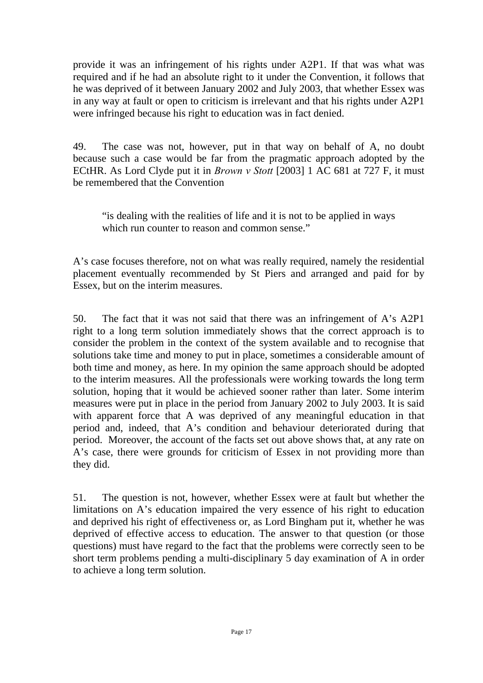provide it was an infringement of his rights under A2P1. If that was what was required and if he had an absolute right to it under the Convention, it follows that he was deprived of it between January 2002 and July 2003, that whether Essex was in any way at fault or open to criticism is irrelevant and that his rights under A2P1 were infringed because his right to education was in fact denied.

49. The case was not, however, put in that way on behalf of A, no doubt because such a case would be far from the pragmatic approach adopted by the ECtHR. As Lord Clyde put it in *Brown v Stott* [2003] 1 AC 681 at 727 F, it must be remembered that the Convention

"is dealing with the realities of life and it is not to be applied in ways which run counter to reason and common sense."

A's case focuses therefore, not on what was really required, namely the residential placement eventually recommended by St Piers and arranged and paid for by Essex, but on the interim measures.

50. The fact that it was not said that there was an infringement of A's A2P1 right to a long term solution immediately shows that the correct approach is to consider the problem in the context of the system available and to recognise that solutions take time and money to put in place, sometimes a considerable amount of both time and money, as here. In my opinion the same approach should be adopted to the interim measures. All the professionals were working towards the long term solution, hoping that it would be achieved sooner rather than later. Some interim measures were put in place in the period from January 2002 to July 2003. It is said with apparent force that A was deprived of any meaningful education in that period and, indeed, that A's condition and behaviour deteriorated during that period. Moreover, the account of the facts set out above shows that, at any rate on A's case, there were grounds for criticism of Essex in not providing more than they did.

51. The question is not, however, whether Essex were at fault but whether the limitations on A's education impaired the very essence of his right to education and deprived his right of effectiveness or, as Lord Bingham put it, whether he was deprived of effective access to education. The answer to that question (or those questions) must have regard to the fact that the problems were correctly seen to be short term problems pending a multi-disciplinary 5 day examination of A in order to achieve a long term solution.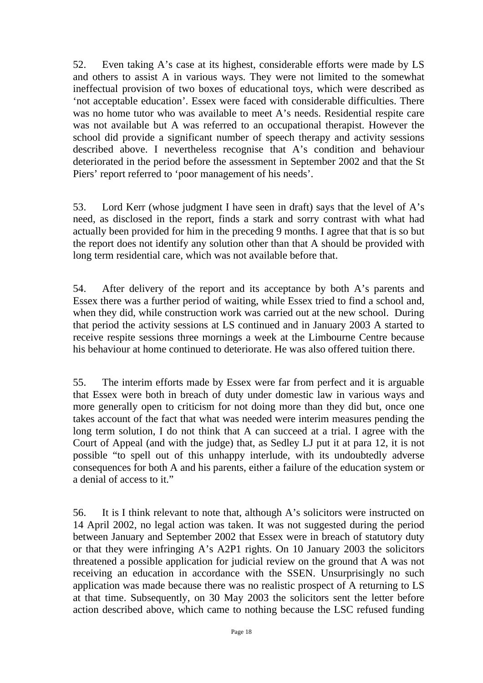52. Even taking A's case at its highest, considerable efforts were made by LS and others to assist A in various ways. They were not limited to the somewhat ineffectual provision of two boxes of educational toys, which were described as 'not acceptable education'. Essex were faced with considerable difficulties. There was no home tutor who was available to meet A's needs. Residential respite care was not available but A was referred to an occupational therapist. However the school did provide a significant number of speech therapy and activity sessions described above. I nevertheless recognise that A's condition and behaviour deteriorated in the period before the assessment in September 2002 and that the St Piers' report referred to 'poor management of his needs'.

53. Lord Kerr (whose judgment I have seen in draft) says that the level of A's need, as disclosed in the report, finds a stark and sorry contrast with what had actually been provided for him in the preceding 9 months. I agree that that is so but the report does not identify any solution other than that A should be provided with long term residential care, which was not available before that.

54. After delivery of the report and its acceptance by both A's parents and Essex there was a further period of waiting, while Essex tried to find a school and, when they did, while construction work was carried out at the new school. During that period the activity sessions at LS continued and in January 2003 A started to receive respite sessions three mornings a week at the Limbourne Centre because his behaviour at home continued to deteriorate. He was also offered tuition there.

55. The interim efforts made by Essex were far from perfect and it is arguable that Essex were both in breach of duty under domestic law in various ways and more generally open to criticism for not doing more than they did but, once one takes account of the fact that what was needed were interim measures pending the long term solution, I do not think that A can succeed at a trial. I agree with the Court of Appeal (and with the judge) that, as Sedley LJ put it at para 12, it is not possible "to spell out of this unhappy interlude, with its undoubtedly adverse consequences for both A and his parents, either a failure of the education system or a denial of access to it."

56. It is I think relevant to note that, although A's solicitors were instructed on 14 April 2002, no legal action was taken. It was not suggested during the period between January and September 2002 that Essex were in breach of statutory duty or that they were infringing A's A2P1 rights. On 10 January 2003 the solicitors threatened a possible application for judicial review on the ground that A was not receiving an education in accordance with the SSEN. Unsurprisingly no such application was made because there was no realistic prospect of A returning to LS at that time. Subsequently, on 30 May 2003 the solicitors sent the letter before action described above, which came to nothing because the LSC refused funding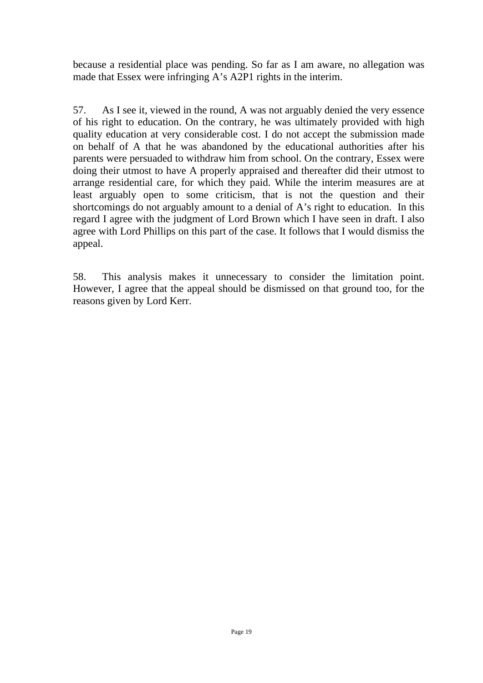because a residential place was pending. So far as I am aware, no allegation was made that Essex were infringing A's A2P1 rights in the interim.

57. As I see it, viewed in the round, A was not arguably denied the very essence of his right to education. On the contrary, he was ultimately provided with high quality education at very considerable cost. I do not accept the submission made on behalf of A that he was abandoned by the educational authorities after his parents were persuaded to withdraw him from school. On the contrary, Essex were doing their utmost to have A properly appraised and thereafter did their utmost to arrange residential care, for which they paid. While the interim measures are at least arguably open to some criticism, that is not the question and their shortcomings do not arguably amount to a denial of A's right to education. In this regard I agree with the judgment of Lord Brown which I have seen in draft. I also agree with Lord Phillips on this part of the case. It follows that I would dismiss the appeal.

58. This analysis makes it unnecessary to consider the limitation point. However, I agree that the appeal should be dismissed on that ground too, for the reasons given by Lord Kerr.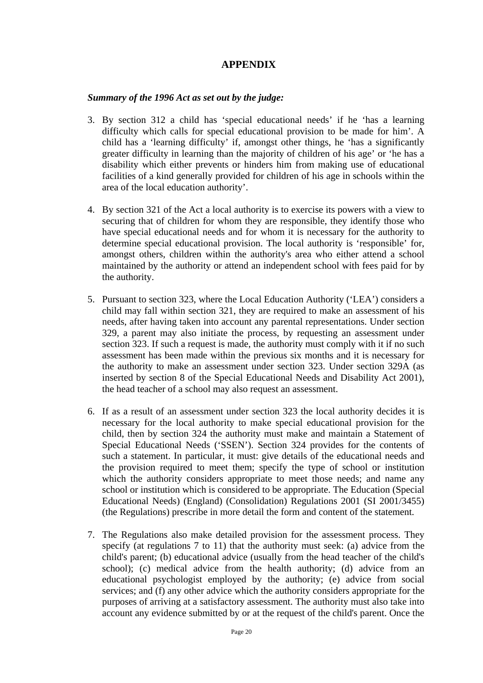#### **APPENDIX**

#### *Summary of the 1996 Act as set out by the judge:*

- 3. By section 312 a child has 'special educational needs' if he 'has a learning difficulty which calls for special educational provision to be made for him'. A child has a 'learning difficulty' if, amongst other things, he 'has a significantly greater difficulty in learning than the majority of children of his age' or 'he has a disability which either prevents or hinders him from making use of educational facilities of a kind generally provided for children of his age in schools within the area of the local education authority'.
- 4. By section 321 of the Act a local authority is to exercise its powers with a view to securing that of children for whom they are responsible, they identify those who have special educational needs and for whom it is necessary for the authority to determine special educational provision. The local authority is 'responsible' for, amongst others, children within the authority's area who either attend a school maintained by the authority or attend an independent school with fees paid for by the authority.
- 5. Pursuant to section 323, where the Local Education Authority ('LEA') considers a child may fall within section 321, they are required to make an assessment of his needs, after having taken into account any parental representations. Under section 329, a parent may also initiate the process, by requesting an assessment under section 323. If such a request is made, the authority must comply with it if no such assessment has been made within the previous six months and it is necessary for the authority to make an assessment under section 323. Under section 329A (as inserted by section 8 of the Special Educational Needs and Disability Act 2001), the head teacher of a school may also request an assessment.
- 6. If as a result of an assessment under section 323 the local authority decides it is necessary for the local authority to make special educational provision for the child, then by section 324 the authority must make and maintain a Statement of Special Educational Needs ('SSEN'). Section 324 provides for the contents of such a statement. In particular, it must: give details of the educational needs and the provision required to meet them; specify the type of school or institution which the authority considers appropriate to meet those needs; and name any school or institution which is considered to be appropriate. The Education (Special Educational Needs) (England) (Consolidation) Regulations 2001 (SI 2001/3455) (the Regulations) prescribe in more detail the form and content of the statement.
- 7. The Regulations also make detailed provision for the assessment process. They specify (at regulations 7 to 11) that the authority must seek: (a) advice from the child's parent; (b) educational advice (usually from the head teacher of the child's school); (c) medical advice from the health authority; (d) advice from an educational psychologist employed by the authority; (e) advice from social services; and (f) any other advice which the authority considers appropriate for the purposes of arriving at a satisfactory assessment. The authority must also take into account any evidence submitted by or at the request of the child's parent. Once the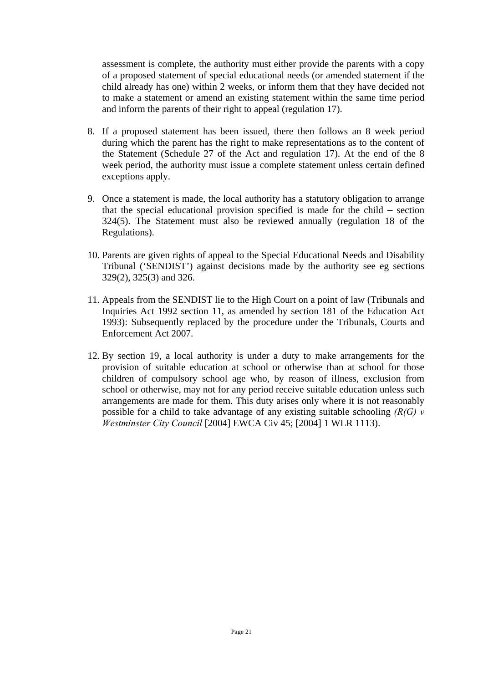assessment is complete, the authority must either provide the parents with a copy of a proposed statement of special educational needs (or amended statement if the child already has one) within 2 weeks, or inform them that they have decided not to make a statement or amend an existing statement within the same time period and inform the parents of their right to appeal (regulation 17).

- 8. If a proposed statement has been issued, there then follows an 8 week period during which the parent has the right to make representations as to the content of the Statement (Schedule 27 of the Act and regulation 17). At the end of the 8 week period, the authority must issue a complete statement unless certain defined exceptions apply.
- 9. Once a statement is made, the local authority has a statutory obligation to arrange that the special educational provision specified is made for the child – section 324(5). The Statement must also be reviewed annually (regulation 18 of the Regulations).
- 10. Parents are given rights of appeal to the Special Educational Needs and Disability Tribunal ('SENDIST') against decisions made by the authority see eg sections 329(2), 325(3) and 326.
- 11. Appeals from the SENDIST lie to the High Court on a point of law (Tribunals and Inquiries Act 1992 section 11, as amended by section 181 of the Education Act 1993): Subsequently replaced by the procedure under the Tribunals, Courts and Enforcement Act 2007.
- 12. By section 19, a local authority is under a duty to make arrangements for the provision of suitable education at school or otherwise than at school for those children of compulsory school age who, by reason of illness, exclusion from school or otherwise, may not for any period receive suitable education unless such arrangements are made for them. This duty arises only where it is not reasonably possible for a child to take advantage of any existing suitable schooling *(R(G) v Westminster City Council* [2004] EWCA Civ 45; [2004] 1 WLR 1113).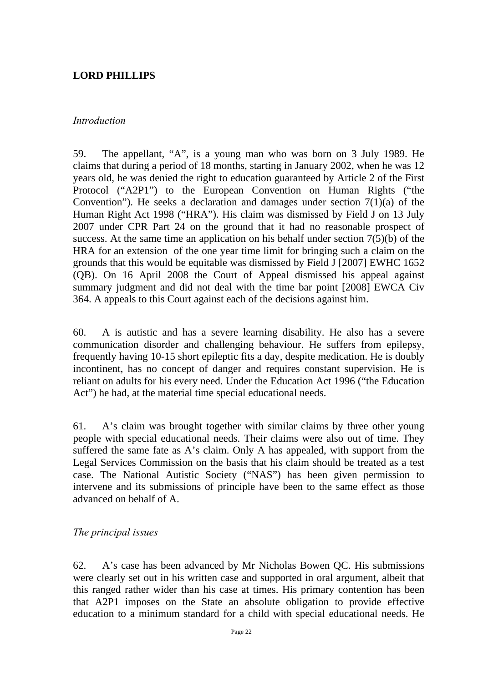#### **LORD PHILLIPS**

#### *Introduction*

59. The appellant, "A", is a young man who was born on 3 July 1989. He claims that during a period of 18 months, starting in January 2002, when he was 12 years old, he was denied the right to education guaranteed by Article 2 of the First Protocol ("A2P1") to the European Convention on Human Rights ("the Convention"). He seeks a declaration and damages under section  $7(1)(a)$  of the Human Right Act 1998 ("HRA"). His claim was dismissed by Field J on 13 July 2007 under CPR Part 24 on the ground that it had no reasonable prospect of success. At the same time an application on his behalf under section 7(5)(b) of the HRA for an extension of the one year time limit for bringing such a claim on the grounds that this would be equitable was dismissed by Field J [2007] EWHC 1652 (QB). On 16 April 2008 the Court of Appeal dismissed his appeal against summary judgment and did not deal with the time bar point [2008] EWCA Civ 364. A appeals to this Court against each of the decisions against him.

60. A is autistic and has a severe learning disability. He also has a severe communication disorder and challenging behaviour. He suffers from epilepsy, frequently having 10-15 short epileptic fits a day, despite medication. He is doubly incontinent, has no concept of danger and requires constant supervision. He is reliant on adults for his every need. Under the Education Act 1996 ("the Education Act") he had, at the material time special educational needs.

61. A's claim was brought together with similar claims by three other young people with special educational needs. Their claims were also out of time. They suffered the same fate as A's claim. Only A has appealed, with support from the Legal Services Commission on the basis that his claim should be treated as a test case. The National Autistic Society ("NAS") has been given permission to intervene and its submissions of principle have been to the same effect as those advanced on behalf of A.

#### *The principal issues*

62. A's case has been advanced by Mr Nicholas Bowen QC. His submissions were clearly set out in his written case and supported in oral argument, albeit that this ranged rather wider than his case at times. His primary contention has been that A2P1 imposes on the State an absolute obligation to provide effective education to a minimum standard for a child with special educational needs. He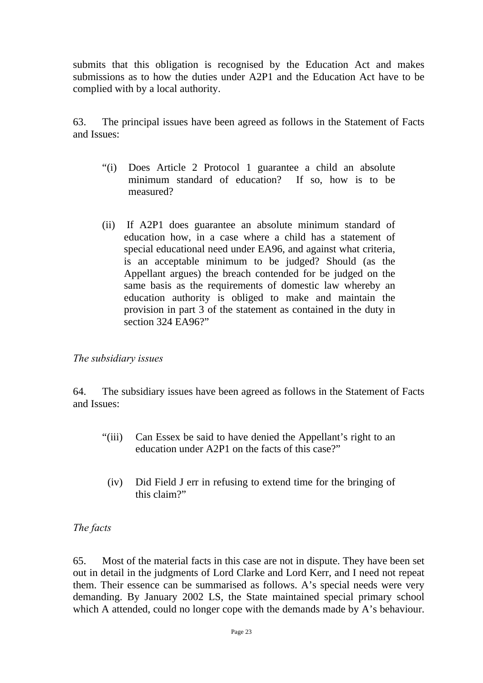submits that this obligation is recognised by the Education Act and makes submissions as to how the duties under A2P1 and the Education Act have to be complied with by a local authority.

63. The principal issues have been agreed as follows in the Statement of Facts and Issues:

- "(i) Does Article 2 Protocol 1 guarantee a child an absolute minimum standard of education? If so, how is to be measured?
- (ii) If A2P1 does guarantee an absolute minimum standard of education how, in a case where a child has a statement of special educational need under EA96, and against what criteria, is an acceptable minimum to be judged? Should (as the Appellant argues) the breach contended for be judged on the same basis as the requirements of domestic law whereby an education authority is obliged to make and maintain the provision in part 3 of the statement as contained in the duty in section 324 EA96?"

#### *The subsidiary issues*

64. The subsidiary issues have been agreed as follows in the Statement of Facts and Issues:

- "(iii) Can Essex be said to have denied the Appellant's right to an education under A2P1 on the facts of this case?"
	- (iv) Did Field J err in refusing to extend time for the bringing of this claim?"

#### *The facts*

65. Most of the material facts in this case are not in dispute. They have been set out in detail in the judgments of Lord Clarke and Lord Kerr, and I need not repeat them. Their essence can be summarised as follows. A's special needs were very demanding. By January 2002 LS, the State maintained special primary school which A attended, could no longer cope with the demands made by A's behaviour.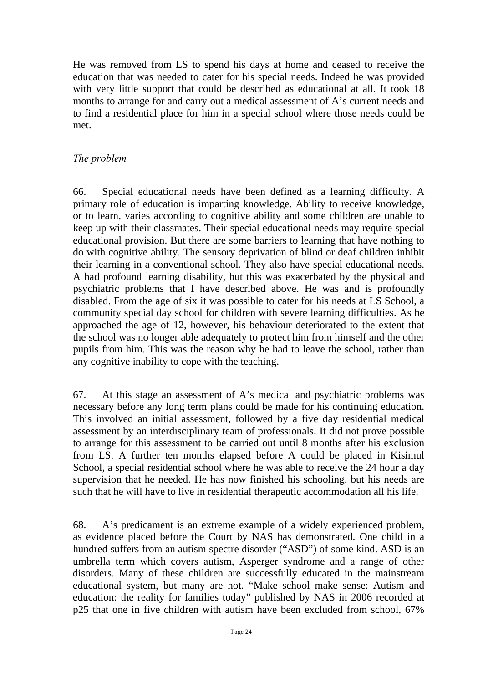He was removed from LS to spend his days at home and ceased to receive the education that was needed to cater for his special needs. Indeed he was provided with very little support that could be described as educational at all. It took 18 months to arrange for and carry out a medical assessment of A's current needs and to find a residential place for him in a special school where those needs could be met.

# *The problem*

66. Special educational needs have been defined as a learning difficulty. A primary role of education is imparting knowledge. Ability to receive knowledge, or to learn, varies according to cognitive ability and some children are unable to keep up with their classmates. Their special educational needs may require special educational provision. But there are some barriers to learning that have nothing to do with cognitive ability. The sensory deprivation of blind or deaf children inhibit their learning in a conventional school. They also have special educational needs. A had profound learning disability, but this was exacerbated by the physical and psychiatric problems that I have described above. He was and is profoundly disabled. From the age of six it was possible to cater for his needs at LS School, a community special day school for children with severe learning difficulties. As he approached the age of 12, however, his behaviour deteriorated to the extent that the school was no longer able adequately to protect him from himself and the other pupils from him. This was the reason why he had to leave the school, rather than any cognitive inability to cope with the teaching.

67. At this stage an assessment of A's medical and psychiatric problems was necessary before any long term plans could be made for his continuing education. This involved an initial assessment, followed by a five day residential medical assessment by an interdisciplinary team of professionals. It did not prove possible to arrange for this assessment to be carried out until 8 months after his exclusion from LS. A further ten months elapsed before A could be placed in Kisimul School, a special residential school where he was able to receive the 24 hour a day supervision that he needed. He has now finished his schooling, but his needs are such that he will have to live in residential therapeutic accommodation all his life.

68. A's predicament is an extreme example of a widely experienced problem, as evidence placed before the Court by NAS has demonstrated. One child in a hundred suffers from an autism spectre disorder ("ASD") of some kind. ASD is an umbrella term which covers autism, Asperger syndrome and a range of other disorders. Many of these children are successfully educated in the mainstream educational system, but many are not. "Make school make sense: Autism and education: the reality for families today" published by NAS in 2006 recorded at p25 that one in five children with autism have been excluded from school, 67%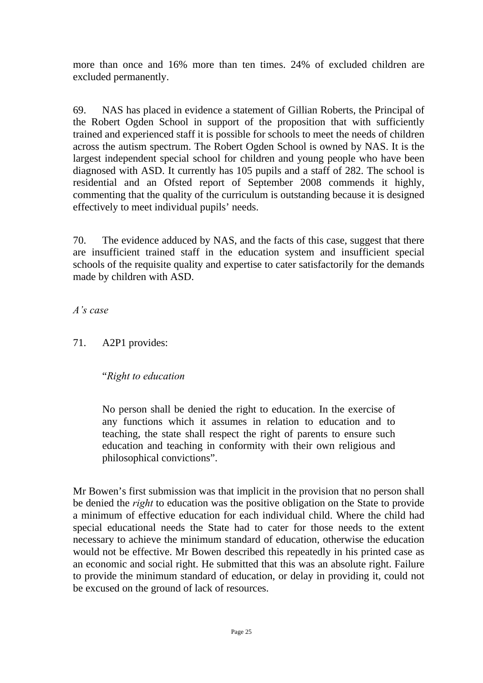more than once and 16% more than ten times. 24% of excluded children are excluded permanently.

69. NAS has placed in evidence a statement of Gillian Roberts, the Principal of the Robert Ogden School in support of the proposition that with sufficiently trained and experienced staff it is possible for schools to meet the needs of children across the autism spectrum. The Robert Ogden School is owned by NAS. It is the largest independent special school for children and young people who have been diagnosed with ASD. It currently has 105 pupils and a staff of 282. The school is residential and an Ofsted report of September 2008 commends it highly, commenting that the quality of the curriculum is outstanding because it is designed effectively to meet individual pupils' needs.

70. The evidence adduced by NAS, and the facts of this case, suggest that there are insufficient trained staff in the education system and insufficient special schools of the requisite quality and expertise to cater satisfactorily for the demands made by children with ASD.

*A's case* 

71. A2P1 provides:

"*Right to education* 

No person shall be denied the right to education. In the exercise of any functions which it assumes in relation to education and to teaching, the state shall respect the right of parents to ensure such education and teaching in conformity with their own religious and philosophical convictions".

Mr Bowen's first submission was that implicit in the provision that no person shall be denied the *right* to education was the positive obligation on the State to provide a minimum of effective education for each individual child. Where the child had special educational needs the State had to cater for those needs to the extent necessary to achieve the minimum standard of education, otherwise the education would not be effective. Mr Bowen described this repeatedly in his printed case as an economic and social right. He submitted that this was an absolute right. Failure to provide the minimum standard of education, or delay in providing it, could not be excused on the ground of lack of resources.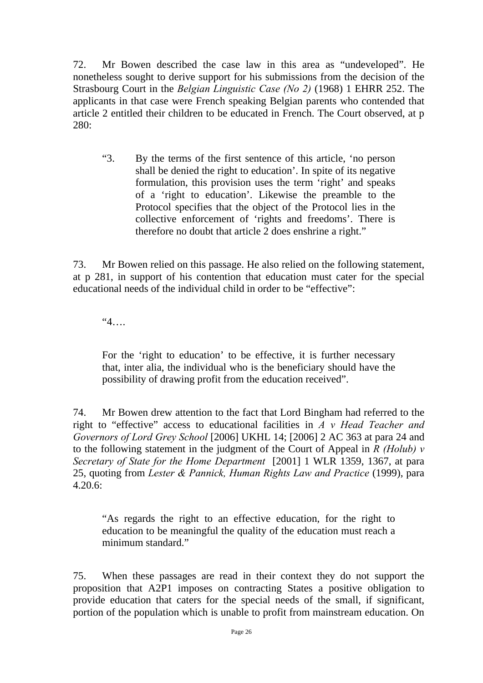72. Mr Bowen described the case law in this area as "undeveloped". He nonetheless sought to derive support for his submissions from the decision of the Strasbourg Court in the *Belgian Linguistic Case (No 2)* (1968) 1 EHRR 252. The applicants in that case were French speaking Belgian parents who contended that article 2 entitled their children to be educated in French. The Court observed, at p 280:

"3. By the terms of the first sentence of this article, 'no person shall be denied the right to education'. In spite of its negative formulation, this provision uses the term 'right' and speaks of a 'right to education'. Likewise the preamble to the Protocol specifies that the object of the Protocol lies in the collective enforcement of 'rights and freedoms'. There is therefore no doubt that article 2 does enshrine a right."

73. Mr Bowen relied on this passage. He also relied on the following statement, at p 281, in support of his contention that education must cater for the special educational needs of the individual child in order to be "effective":

"4….

For the 'right to education' to be effective, it is further necessary that, inter alia, the individual who is the beneficiary should have the possibility of drawing profit from the education received".

74. Mr Bowen drew attention to the fact that Lord Bingham had referred to the right to "effective" access to educational facilities in *A v Head Teacher and Governors of Lord Grey School* [2006] UKHL 14; [2006] 2 AC 363 at para 24 and to the following statement in the judgment of the Court of Appeal in *R (Holub) v Secretary of State for the Home Department* [2001] 1 WLR 1359, 1367, at para 25, quoting from *Lester & Pannick, Human Rights Law and Practice* (1999), para  $4.206$ 

"As regards the right to an effective education, for the right to education to be meaningful the quality of the education must reach a minimum standard."

75. When these passages are read in their context they do not support the proposition that A2P1 imposes on contracting States a positive obligation to provide education that caters for the special needs of the small, if significant, portion of the population which is unable to profit from mainstream education. On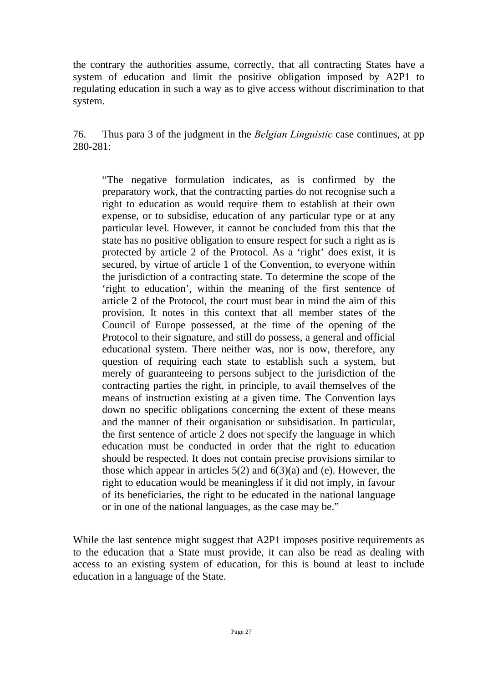the contrary the authorities assume, correctly, that all contracting States have a system of education and limit the positive obligation imposed by A2P1 to regulating education in such a way as to give access without discrimination to that system.

76. Thus para 3 of the judgment in the *Belgian Linguistic* case continues, at pp 280-281:

"The negative formulation indicates, as is confirmed by the preparatory work, that the contracting parties do not recognise such a right to education as would require them to establish at their own expense, or to subsidise, education of any particular type or at any particular level. However, it cannot be concluded from this that the state has no positive obligation to ensure respect for such a right as is protected by article 2 of the Protocol. As a 'right' does exist, it is secured, by virtue of article 1 of the Convention, to everyone within the jurisdiction of a contracting state. To determine the scope of the 'right to education', within the meaning of the first sentence of article 2 of the Protocol, the court must bear in mind the aim of this provision. It notes in this context that all member states of the Council of Europe possessed, at the time of the opening of the Protocol to their signature, and still do possess, a general and official educational system. There neither was, nor is now, therefore, any question of requiring each state to establish such a system, but merely of guaranteeing to persons subject to the jurisdiction of the contracting parties the right, in principle, to avail themselves of the means of instruction existing at a given time. The Convention lays down no specific obligations concerning the extent of these means and the manner of their organisation or subsidisation. In particular, the first sentence of article 2 does not specify the language in which education must be conducted in order that the right to education should be respected. It does not contain precise provisions similar to those which appear in articles  $5(2)$  and  $6(3)(a)$  and (e). However, the right to education would be meaningless if it did not imply, in favour of its beneficiaries, the right to be educated in the national language or in one of the national languages, as the case may be."

While the last sentence might suggest that A2P1 imposes positive requirements as to the education that a State must provide, it can also be read as dealing with access to an existing system of education, for this is bound at least to include education in a language of the State.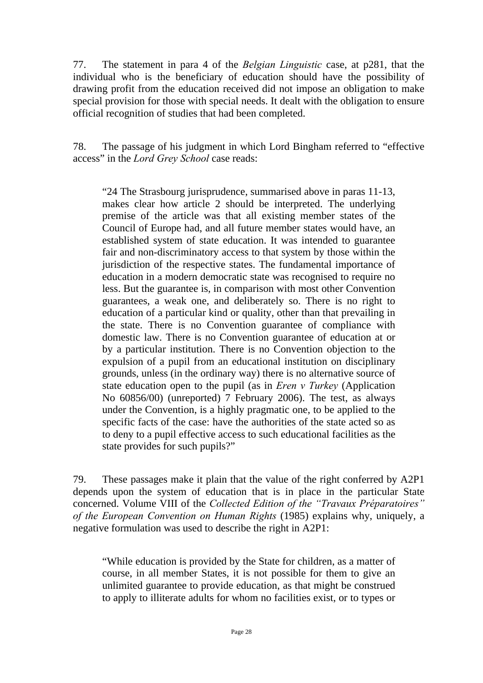77. The statement in para 4 of the *Belgian Linguistic* case, at p281, that the individual who is the beneficiary of education should have the possibility of drawing profit from the education received did not impose an obligation to make special provision for those with special needs. It dealt with the obligation to ensure official recognition of studies that had been completed.

78. The passage of his judgment in which Lord Bingham referred to "effective access" in the *Lord Grey School* case reads:

"24 The Strasbourg jurisprudence, summarised above in paras 11-13, makes clear how article 2 should be interpreted. The underlying premise of the article was that all existing member states of the Council of Europe had, and all future member states would have, an established system of state education. It was intended to guarantee fair and non-discriminatory access to that system by those within the jurisdiction of the respective states. The fundamental importance of education in a modern democratic state was recognised to require no less. But the guarantee is, in comparison with most other Convention guarantees, a weak one, and deliberately so. There is no right to education of a particular kind or quality, other than that prevailing in the state. There is no Convention guarantee of compliance with domestic law. There is no Convention guarantee of education at or by a particular institution. There is no Convention objection to the expulsion of a pupil from an educational institution on disciplinary grounds, unless (in the ordinary way) there is no alternative source of state education open to the pupil (as in *Eren v Turkey* (Application No 60856/00) (unreported) 7 February 2006). The test, as always under the Convention, is a highly pragmatic one, to be applied to the specific facts of the case: have the authorities of the state acted so as to deny to a pupil effective access to such educational facilities as the state provides for such pupils?"

79. These passages make it plain that the value of the right conferred by A2P1 depends upon the system of education that is in place in the particular State concerned. Volume VIII of the *Collected Edition of the "Travaux Préparatoires" of the European Convention on Human Rights* (1985) explains why, uniquely, a negative formulation was used to describe the right in A2P1:

"While education is provided by the State for children, as a matter of course, in all member States, it is not possible for them to give an unlimited guarantee to provide education, as that might be construed to apply to illiterate adults for whom no facilities exist, or to types or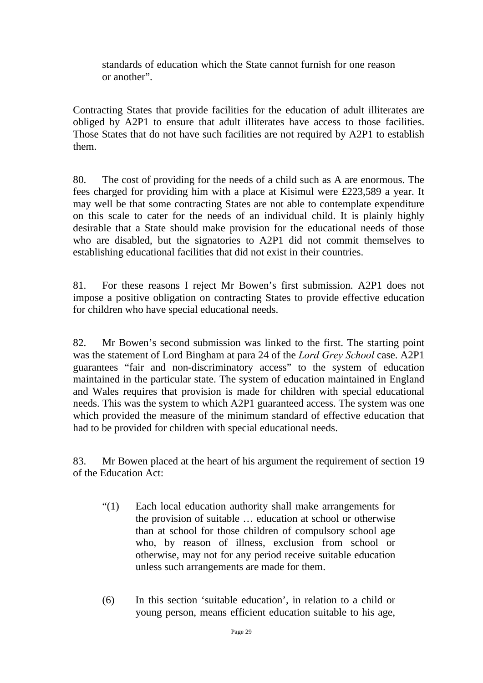standards of education which the State cannot furnish for one reason or another".

Contracting States that provide facilities for the education of adult illiterates are obliged by A2P1 to ensure that adult illiterates have access to those facilities. Those States that do not have such facilities are not required by A2P1 to establish them.

80. The cost of providing for the needs of a child such as A are enormous. The fees charged for providing him with a place at Kisimul were £223,589 a year. It may well be that some contracting States are not able to contemplate expenditure on this scale to cater for the needs of an individual child. It is plainly highly desirable that a State should make provision for the educational needs of those who are disabled, but the signatories to A2P1 did not commit themselves to establishing educational facilities that did not exist in their countries.

81. For these reasons I reject Mr Bowen's first submission. A2P1 does not impose a positive obligation on contracting States to provide effective education for children who have special educational needs.

82. Mr Bowen's second submission was linked to the first. The starting point was the statement of Lord Bingham at para 24 of the *Lord Grey School* case. A2P1 guarantees "fair and non-discriminatory access" to the system of education maintained in the particular state. The system of education maintained in England and Wales requires that provision is made for children with special educational needs. This was the system to which A2P1 guaranteed access. The system was one which provided the measure of the minimum standard of effective education that had to be provided for children with special educational needs.

83. Mr Bowen placed at the heart of his argument the requirement of section 19 of the Education Act:

- "(1) Each local education authority shall make arrangements for the provision of suitable … education at school or otherwise than at school for those children of compulsory school age who, by reason of illness, exclusion from school or otherwise, may not for any period receive suitable education unless such arrangements are made for them.
- (6) In this section 'suitable education', in relation to a child or young person, means efficient education suitable to his age,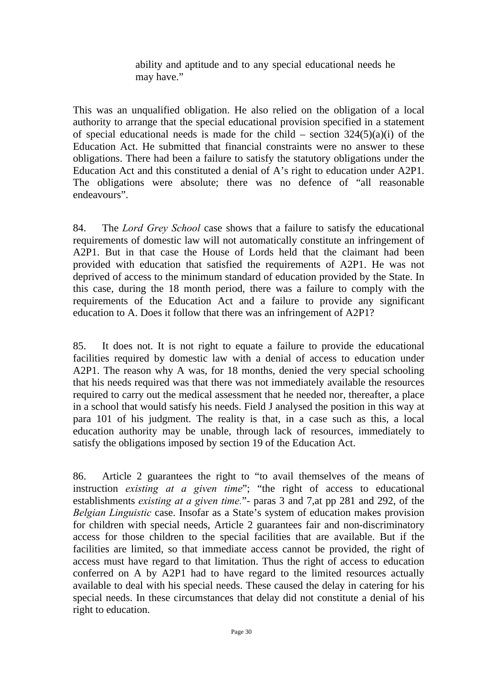ability and aptitude and to any special educational needs he may have."

This was an unqualified obligation. He also relied on the obligation of a local authority to arrange that the special educational provision specified in a statement of special educational needs is made for the child – section  $324(5)(a)(i)$  of the Education Act. He submitted that financial constraints were no answer to these obligations. There had been a failure to satisfy the statutory obligations under the Education Act and this constituted a denial of A's right to education under A2P1. The obligations were absolute; there was no defence of "all reasonable endeavours".

84. The *Lord Grey School* case shows that a failure to satisfy the educational requirements of domestic law will not automatically constitute an infringement of A2P1. But in that case the House of Lords held that the claimant had been provided with education that satisfied the requirements of A2P1. He was not deprived of access to the minimum standard of education provided by the State. In this case, during the 18 month period, there was a failure to comply with the requirements of the Education Act and a failure to provide any significant education to A. Does it follow that there was an infringement of A2P1?

85. It does not. It is not right to equate a failure to provide the educational facilities required by domestic law with a denial of access to education under A2P1. The reason why A was, for 18 months, denied the very special schooling that his needs required was that there was not immediately available the resources required to carry out the medical assessment that he needed nor, thereafter, a place in a school that would satisfy his needs. Field J analysed the position in this way at para 101 of his judgment. The reality is that, in a case such as this, a local education authority may be unable, through lack of resources, immediately to satisfy the obligations imposed by section 19 of the Education Act.

86. Article 2 guarantees the right to "to avail themselves of the means of instruction *existing at a given time*"; "the right of access to educational establishments *existing at a given time.*"- paras 3 and 7,at pp 281 and 292, of the *Belgian Linguistic* case. Insofar as a State's system of education makes provision for children with special needs, Article 2 guarantees fair and non-discriminatory access for those children to the special facilities that are available. But if the facilities are limited, so that immediate access cannot be provided, the right of access must have regard to that limitation. Thus the right of access to education conferred on A by A2P1 had to have regard to the limited resources actually available to deal with his special needs. These caused the delay in catering for his special needs. In these circumstances that delay did not constitute a denial of his right to education.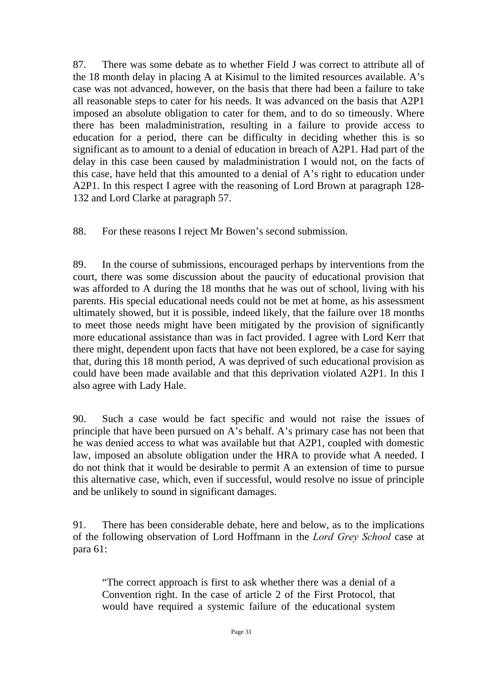87. There was some debate as to whether Field J was correct to attribute all of the 18 month delay in placing A at Kisimul to the limited resources available. A's case was not advanced, however, on the basis that there had been a failure to take all reasonable steps to cater for his needs. It was advanced on the basis that A2P1 imposed an absolute obligation to cater for them, and to do so timeously. Where there has been maladministration, resulting in a failure to provide access to education for a period, there can be difficulty in deciding whether this is so significant as to amount to a denial of education in breach of A2P1. Had part of the delay in this case been caused by maladministration I would not, on the facts of this case, have held that this amounted to a denial of A's right to education under A2P1. In this respect I agree with the reasoning of Lord Brown at paragraph 128- 132 and Lord Clarke at paragraph 57.

88. For these reasons I reject Mr Bowen's second submission.

89. In the course of submissions, encouraged perhaps by interventions from the court, there was some discussion about the paucity of educational provision that was afforded to A during the 18 months that he was out of school, living with his parents. His special educational needs could not be met at home, as his assessment ultimately showed, but it is possible, indeed likely, that the failure over 18 months to meet those needs might have been mitigated by the provision of significantly more educational assistance than was in fact provided. I agree with Lord Kerr that there might, dependent upon facts that have not been explored, be a case for saying that, during this 18 month period, A was deprived of such educational provision as could have been made available and that this deprivation violated A2P1. In this I also agree with Lady Hale.

90. Such a case would be fact specific and would not raise the issues of principle that have been pursued on A's behalf. A's primary case has not been that he was denied access to what was available but that A2P1, coupled with domestic law, imposed an absolute obligation under the HRA to provide what A needed. I do not think that it would be desirable to permit A an extension of time to pursue this alternative case, which, even if successful, would resolve no issue of principle and be unlikely to sound in significant damages.

91. There has been considerable debate, here and below, as to the implications of the following observation of Lord Hoffmann in the *Lord Grey School* case at para 61:

"The correct approach is first to ask whether there was a denial of a Convention right. In the case of article 2 of the First Protocol, that would have required a systemic failure of the educational system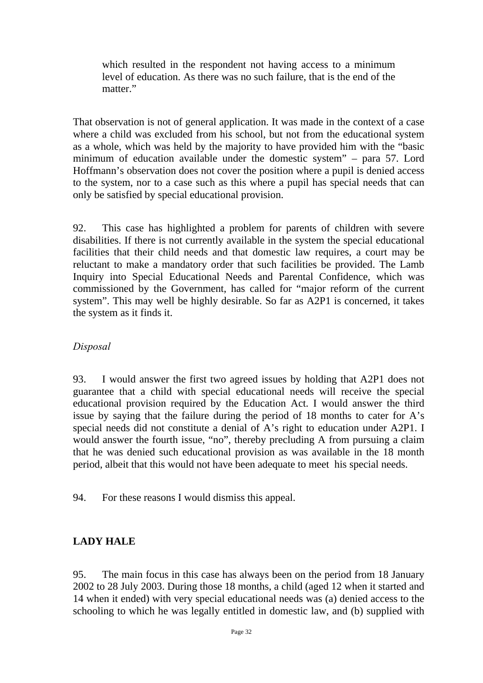which resulted in the respondent not having access to a minimum level of education. As there was no such failure, that is the end of the matter."

That observation is not of general application. It was made in the context of a case where a child was excluded from his school, but not from the educational system as a whole, which was held by the majority to have provided him with the "basic minimum of education available under the domestic system" – para 57. Lord Hoffmann's observation does not cover the position where a pupil is denied access to the system, nor to a case such as this where a pupil has special needs that can only be satisfied by special educational provision.

92. This case has highlighted a problem for parents of children with severe disabilities. If there is not currently available in the system the special educational facilities that their child needs and that domestic law requires, a court may be reluctant to make a mandatory order that such facilities be provided. The Lamb Inquiry into Special Educational Needs and Parental Confidence, which was commissioned by the Government, has called for "major reform of the current system". This may well be highly desirable. So far as A2P1 is concerned, it takes the system as it finds it.

#### *Disposal*

93. I would answer the first two agreed issues by holding that A2P1 does not guarantee that a child with special educational needs will receive the special educational provision required by the Education Act. I would answer the third issue by saying that the failure during the period of 18 months to cater for A's special needs did not constitute a denial of A's right to education under A2P1. I would answer the fourth issue, "no", thereby precluding A from pursuing a claim that he was denied such educational provision as was available in the 18 month period, albeit that this would not have been adequate to meet his special needs.

94. For these reasons I would dismiss this appeal.

# **LADY HALE**

95. The main focus in this case has always been on the period from 18 January 2002 to 28 July 2003. During those 18 months, a child (aged 12 when it started and 14 when it ended) with very special educational needs was (a) denied access to the schooling to which he was legally entitled in domestic law, and (b) supplied with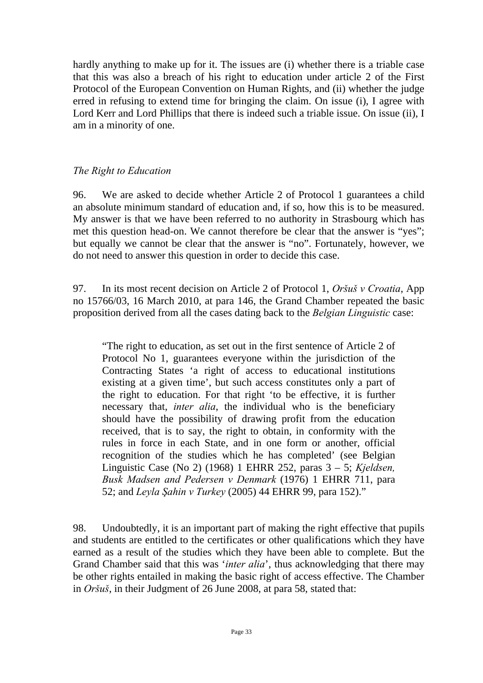hardly anything to make up for it. The issues are (i) whether there is a triable case that this was also a breach of his right to education under article 2 of the First Protocol of the European Convention on Human Rights, and (ii) whether the judge erred in refusing to extend time for bringing the claim. On issue (i), I agree with Lord Kerr and Lord Phillips that there is indeed such a triable issue. On issue (ii), I am in a minority of one.

# *The Right to Education*

96. We are asked to decide whether Article 2 of Protocol 1 guarantees a child an absolute minimum standard of education and, if so, how this is to be measured. My answer is that we have been referred to no authority in Strasbourg which has met this question head-on. We cannot therefore be clear that the answer is "yes"; but equally we cannot be clear that the answer is "no". Fortunately, however, we do not need to answer this question in order to decide this case.

97. In its most recent decision on Article 2 of Protocol 1, *Oršuš v Croatia*, App no 15766/03, 16 March 2010, at para 146, the Grand Chamber repeated the basic proposition derived from all the cases dating back to the *Belgian Linguistic* case:

"The right to education, as set out in the first sentence of Article 2 of Protocol No 1, guarantees everyone within the jurisdiction of the Contracting States 'a right of access to educational institutions existing at a given time', but such access constitutes only a part of the right to education. For that right 'to be effective, it is further necessary that, *inter alia*, the individual who is the beneficiary should have the possibility of drawing profit from the education received, that is to say, the right to obtain, in conformity with the rules in force in each State, and in one form or another, official recognition of the studies which he has completed' (see Belgian Linguistic Case (No 2) (1968) 1 EHRR 252, paras 3 – 5; *Kjeldsen, Busk Madsen and Pedersen v Denmark* (1976) 1 EHRR 711, para 52; and *Leyla Şahin v Turkey* (2005) 44 EHRR 99, para 152)."

98. Undoubtedly, it is an important part of making the right effective that pupils and students are entitled to the certificates or other qualifications which they have earned as a result of the studies which they have been able to complete. But the Grand Chamber said that this was '*inter alia*', thus acknowledging that there may be other rights entailed in making the basic right of access effective. The Chamber in *Oršuš*, in their Judgment of 26 June 2008, at para 58, stated that: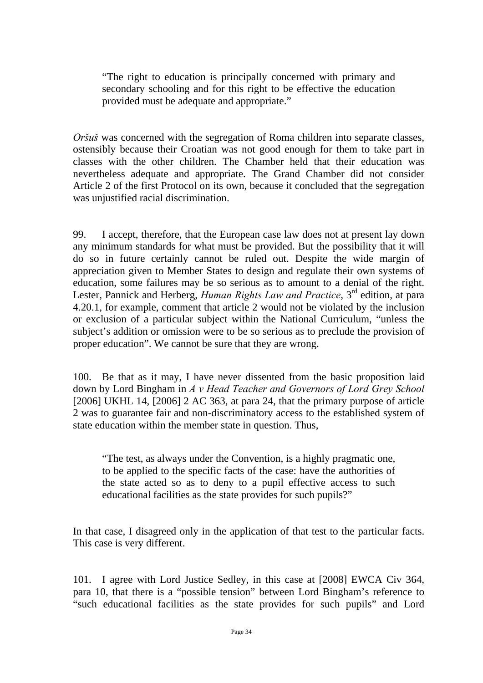"The right to education is principally concerned with primary and secondary schooling and for this right to be effective the education provided must be adequate and appropriate."

*Oršuš* was concerned with the segregation of Roma children into separate classes, ostensibly because their Croatian was not good enough for them to take part in classes with the other children. The Chamber held that their education was nevertheless adequate and appropriate. The Grand Chamber did not consider Article 2 of the first Protocol on its own, because it concluded that the segregation was unjustified racial discrimination.

99. I accept, therefore, that the European case law does not at present lay down any minimum standards for what must be provided. But the possibility that it will do so in future certainly cannot be ruled out. Despite the wide margin of appreciation given to Member States to design and regulate their own systems of education, some failures may be so serious as to amount to a denial of the right. Lester, Pannick and Herberg, *Human Rights Law and Practice*, 3<sup>rd</sup> edition, at para 4.20.1, for example, comment that article 2 would not be violated by the inclusion or exclusion of a particular subject within the National Curriculum, "unless the subject's addition or omission were to be so serious as to preclude the provision of proper education". We cannot be sure that they are wrong.

100. Be that as it may, I have never dissented from the basic proposition laid down by Lord Bingham in *A v Head Teacher and Governors of Lord Grey School* [2006] UKHL 14, [2006] 2 AC 363, at para 24, that the primary purpose of article 2 was to guarantee fair and non-discriminatory access to the established system of state education within the member state in question. Thus,

"The test, as always under the Convention, is a highly pragmatic one, to be applied to the specific facts of the case: have the authorities of the state acted so as to deny to a pupil effective access to such educational facilities as the state provides for such pupils?"

In that case, I disagreed only in the application of that test to the particular facts. This case is very different.

101. I agree with Lord Justice Sedley, in this case at [2008] EWCA Civ 364, para 10, that there is a "possible tension" between Lord Bingham's reference to "such educational facilities as the state provides for such pupils" and Lord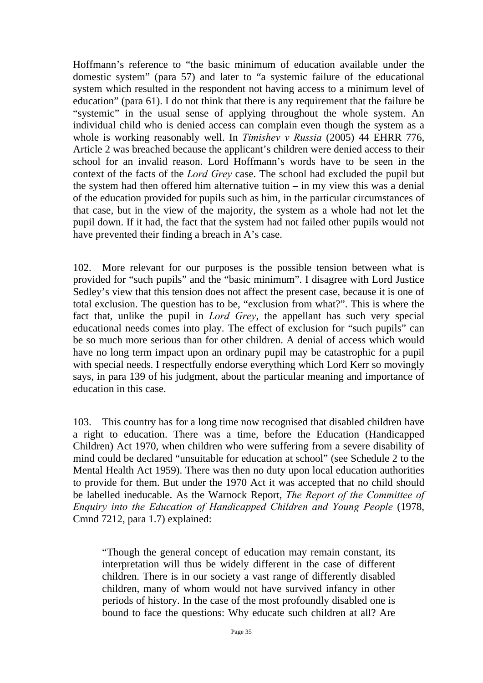Hoffmann's reference to "the basic minimum of education available under the domestic system" (para 57) and later to "a systemic failure of the educational system which resulted in the respondent not having access to a minimum level of education" (para 61). I do not think that there is any requirement that the failure be "systemic" in the usual sense of applying throughout the whole system. An individual child who is denied access can complain even though the system as a whole is working reasonably well. In *Timishev v Russia* (2005) 44 EHRR 776, Article 2 was breached because the applicant's children were denied access to their school for an invalid reason. Lord Hoffmann's words have to be seen in the context of the facts of the *Lord Grey* case. The school had excluded the pupil but the system had then offered him alternative tuition – in my view this was a denial of the education provided for pupils such as him, in the particular circumstances of that case, but in the view of the majority, the system as a whole had not let the pupil down. If it had, the fact that the system had not failed other pupils would not have prevented their finding a breach in A's case.

102. More relevant for our purposes is the possible tension between what is provided for "such pupils" and the "basic minimum". I disagree with Lord Justice Sedley's view that this tension does not affect the present case, because it is one of total exclusion. The question has to be, "exclusion from what?". This is where the fact that, unlike the pupil in *Lord Grey*, the appellant has such very special educational needs comes into play. The effect of exclusion for "such pupils" can be so much more serious than for other children. A denial of access which would have no long term impact upon an ordinary pupil may be catastrophic for a pupil with special needs. I respectfully endorse everything which Lord Kerr so movingly says, in para 139 of his judgment, about the particular meaning and importance of education in this case.

103. This country has for a long time now recognised that disabled children have a right to education. There was a time, before the Education (Handicapped Children) Act 1970, when children who were suffering from a severe disability of mind could be declared "unsuitable for education at school" (see Schedule 2 to the Mental Health Act 1959). There was then no duty upon local education authorities to provide for them. But under the 1970 Act it was accepted that no child should be labelled ineducable. As the Warnock Report, *The Report of the Committee of Enquiry into the Education of Handicapped Children and Young People* (1978, Cmnd 7212, para 1.7) explained:

"Though the general concept of education may remain constant, its interpretation will thus be widely different in the case of different children. There is in our society a vast range of differently disabled children, many of whom would not have survived infancy in other periods of history. In the case of the most profoundly disabled one is bound to face the questions: Why educate such children at all? Are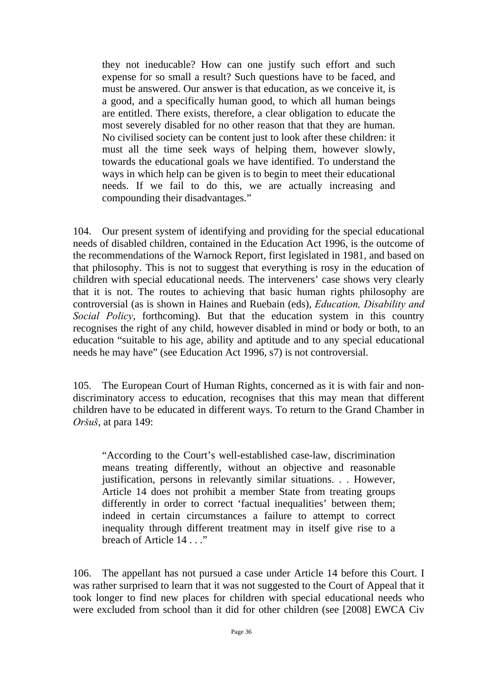they not ineducable? How can one justify such effort and such expense for so small a result? Such questions have to be faced, and must be answered. Our answer is that education, as we conceive it, is a good, and a specifically human good, to which all human beings are entitled. There exists, therefore, a clear obligation to educate the most severely disabled for no other reason that that they are human. No civilised society can be content just to look after these children: it must all the time seek ways of helping them, however slowly, towards the educational goals we have identified. To understand the ways in which help can be given is to begin to meet their educational needs. If we fail to do this, we are actually increasing and compounding their disadvantages."

104. Our present system of identifying and providing for the special educational needs of disabled children, contained in the Education Act 1996, is the outcome of the recommendations of the Warnock Report, first legislated in 1981, and based on that philosophy. This is not to suggest that everything is rosy in the education of children with special educational needs. The interveners' case shows very clearly that it is not. The routes to achieving that basic human rights philosophy are controversial (as is shown in Haines and Ruebain (eds), *Education, Disability and Social Policy*, forthcoming). But that the education system in this country recognises the right of any child, however disabled in mind or body or both, to an education "suitable to his age, ability and aptitude and to any special educational needs he may have" (see Education Act 1996, s7) is not controversial.

105. The European Court of Human Rights, concerned as it is with fair and nondiscriminatory access to education, recognises that this may mean that different children have to be educated in different ways. To return to the Grand Chamber in *Oršuš*, at para 149:

"According to the Court's well-established case-law, discrimination means treating differently, without an objective and reasonable justification, persons in relevantly similar situations. . . However, Article 14 does not prohibit a member State from treating groups differently in order to correct 'factual inequalities' between them; indeed in certain circumstances a failure to attempt to correct inequality through different treatment may in itself give rise to a breach of Article 14 . . ."

106. The appellant has not pursued a case under Article 14 before this Court. I was rather surprised to learn that it was not suggested to the Court of Appeal that it took longer to find new places for children with special educational needs who were excluded from school than it did for other children (see [2008] EWCA Civ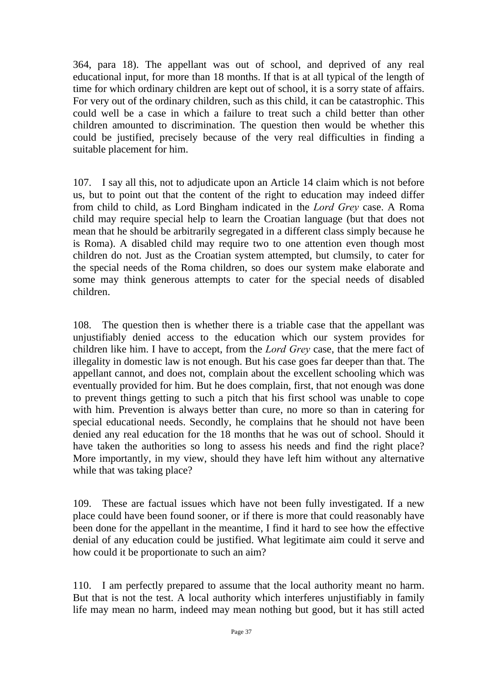364, para 18). The appellant was out of school, and deprived of any real educational input, for more than 18 months. If that is at all typical of the length of time for which ordinary children are kept out of school, it is a sorry state of affairs. For very out of the ordinary children, such as this child, it can be catastrophic. This could well be a case in which a failure to treat such a child better than other children amounted to discrimination. The question then would be whether this could be justified, precisely because of the very real difficulties in finding a suitable placement for him.

107. I say all this, not to adjudicate upon an Article 14 claim which is not before us, but to point out that the content of the right to education may indeed differ from child to child, as Lord Bingham indicated in the *Lord Grey* case. A Roma child may require special help to learn the Croatian language (but that does not mean that he should be arbitrarily segregated in a different class simply because he is Roma). A disabled child may require two to one attention even though most children do not. Just as the Croatian system attempted, but clumsily, to cater for the special needs of the Roma children, so does our system make elaborate and some may think generous attempts to cater for the special needs of disabled children.

108. The question then is whether there is a triable case that the appellant was unjustifiably denied access to the education which our system provides for children like him. I have to accept, from the *Lord Grey* case, that the mere fact of illegality in domestic law is not enough. But his case goes far deeper than that. The appellant cannot, and does not, complain about the excellent schooling which was eventually provided for him. But he does complain, first, that not enough was done to prevent things getting to such a pitch that his first school was unable to cope with him. Prevention is always better than cure, no more so than in catering for special educational needs. Secondly, he complains that he should not have been denied any real education for the 18 months that he was out of school. Should it have taken the authorities so long to assess his needs and find the right place? More importantly, in my view, should they have left him without any alternative while that was taking place?

109. These are factual issues which have not been fully investigated. If a new place could have been found sooner, or if there is more that could reasonably have been done for the appellant in the meantime, I find it hard to see how the effective denial of any education could be justified. What legitimate aim could it serve and how could it be proportionate to such an aim?

110. I am perfectly prepared to assume that the local authority meant no harm. But that is not the test. A local authority which interferes unjustifiably in family life may mean no harm, indeed may mean nothing but good, but it has still acted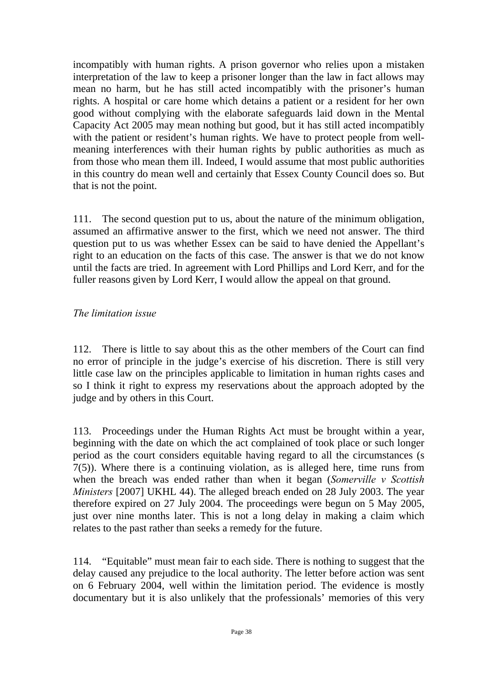incompatibly with human rights. A prison governor who relies upon a mistaken interpretation of the law to keep a prisoner longer than the law in fact allows may mean no harm, but he has still acted incompatibly with the prisoner's human rights. A hospital or care home which detains a patient or a resident for her own good without complying with the elaborate safeguards laid down in the Mental Capacity Act 2005 may mean nothing but good, but it has still acted incompatibly with the patient or resident's human rights. We have to protect people from wellmeaning interferences with their human rights by public authorities as much as from those who mean them ill. Indeed, I would assume that most public authorities in this country do mean well and certainly that Essex County Council does so. But that is not the point.

111. The second question put to us, about the nature of the minimum obligation, assumed an affirmative answer to the first, which we need not answer. The third question put to us was whether Essex can be said to have denied the Appellant's right to an education on the facts of this case. The answer is that we do not know until the facts are tried. In agreement with Lord Phillips and Lord Kerr, and for the fuller reasons given by Lord Kerr, I would allow the appeal on that ground.

# *The limitation issue*

112. There is little to say about this as the other members of the Court can find no error of principle in the judge's exercise of his discretion. There is still very little case law on the principles applicable to limitation in human rights cases and so I think it right to express my reservations about the approach adopted by the judge and by others in this Court.

113. Proceedings under the Human Rights Act must be brought within a year, beginning with the date on which the act complained of took place or such longer period as the court considers equitable having regard to all the circumstances (s 7(5)). Where there is a continuing violation, as is alleged here, time runs from when the breach was ended rather than when it began (*Somerville v Scottish Ministers* [2007] UKHL 44). The alleged breach ended on 28 July 2003. The year therefore expired on 27 July 2004. The proceedings were begun on 5 May 2005, just over nine months later. This is not a long delay in making a claim which relates to the past rather than seeks a remedy for the future.

114. "Equitable" must mean fair to each side. There is nothing to suggest that the delay caused any prejudice to the local authority. The letter before action was sent on 6 February 2004, well within the limitation period. The evidence is mostly documentary but it is also unlikely that the professionals' memories of this very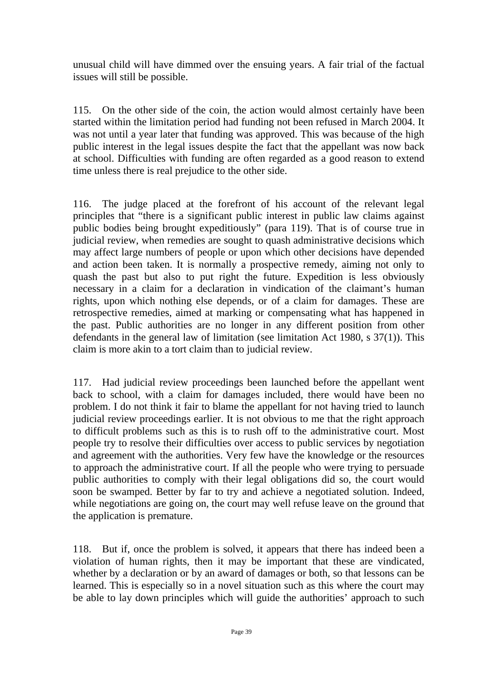unusual child will have dimmed over the ensuing years. A fair trial of the factual issues will still be possible.

115. On the other side of the coin, the action would almost certainly have been started within the limitation period had funding not been refused in March 2004. It was not until a year later that funding was approved. This was because of the high public interest in the legal issues despite the fact that the appellant was now back at school. Difficulties with funding are often regarded as a good reason to extend time unless there is real prejudice to the other side.

116. The judge placed at the forefront of his account of the relevant legal principles that "there is a significant public interest in public law claims against public bodies being brought expeditiously" (para 119). That is of course true in judicial review, when remedies are sought to quash administrative decisions which may affect large numbers of people or upon which other decisions have depended and action been taken. It is normally a prospective remedy, aiming not only to quash the past but also to put right the future. Expedition is less obviously necessary in a claim for a declaration in vindication of the claimant's human rights, upon which nothing else depends, or of a claim for damages. These are retrospective remedies, aimed at marking or compensating what has happened in the past. Public authorities are no longer in any different position from other defendants in the general law of limitation (see limitation Act 1980, s 37(1)). This claim is more akin to a tort claim than to judicial review.

117. Had judicial review proceedings been launched before the appellant went back to school, with a claim for damages included, there would have been no problem. I do not think it fair to blame the appellant for not having tried to launch judicial review proceedings earlier. It is not obvious to me that the right approach to difficult problems such as this is to rush off to the administrative court. Most people try to resolve their difficulties over access to public services by negotiation and agreement with the authorities. Very few have the knowledge or the resources to approach the administrative court. If all the people who were trying to persuade public authorities to comply with their legal obligations did so, the court would soon be swamped. Better by far to try and achieve a negotiated solution. Indeed, while negotiations are going on, the court may well refuse leave on the ground that the application is premature.

118. But if, once the problem is solved, it appears that there has indeed been a violation of human rights, then it may be important that these are vindicated, whether by a declaration or by an award of damages or both, so that lessons can be learned. This is especially so in a novel situation such as this where the court may be able to lay down principles which will guide the authorities' approach to such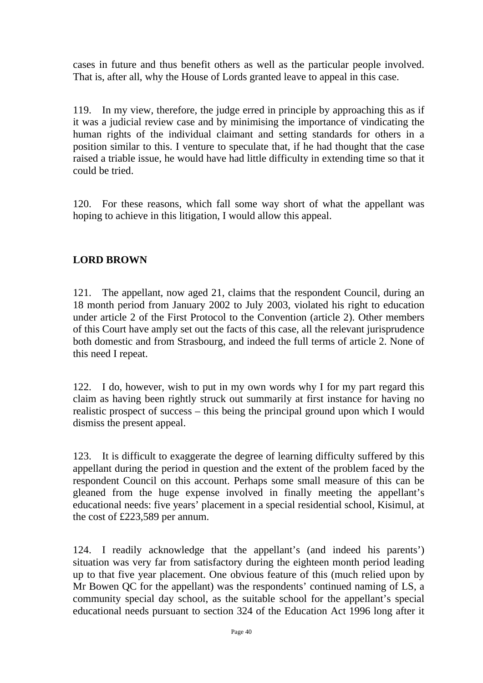cases in future and thus benefit others as well as the particular people involved. That is, after all, why the House of Lords granted leave to appeal in this case.

119. In my view, therefore, the judge erred in principle by approaching this as if it was a judicial review case and by minimising the importance of vindicating the human rights of the individual claimant and setting standards for others in a position similar to this. I venture to speculate that, if he had thought that the case raised a triable issue, he would have had little difficulty in extending time so that it could be tried.

120. For these reasons, which fall some way short of what the appellant was hoping to achieve in this litigation, I would allow this appeal.

# **LORD BROWN**

121. The appellant, now aged 21, claims that the respondent Council, during an 18 month period from January 2002 to July 2003, violated his right to education under article 2 of the First Protocol to the Convention (article 2). Other members of this Court have amply set out the facts of this case, all the relevant jurisprudence both domestic and from Strasbourg, and indeed the full terms of article 2. None of this need I repeat.

122. I do, however, wish to put in my own words why I for my part regard this claim as having been rightly struck out summarily at first instance for having no realistic prospect of success – this being the principal ground upon which I would dismiss the present appeal.

123. It is difficult to exaggerate the degree of learning difficulty suffered by this appellant during the period in question and the extent of the problem faced by the respondent Council on this account. Perhaps some small measure of this can be gleaned from the huge expense involved in finally meeting the appellant's educational needs: five years' placement in a special residential school, Kisimul, at the cost of £223,589 per annum.

124. I readily acknowledge that the appellant's (and indeed his parents') situation was very far from satisfactory during the eighteen month period leading up to that five year placement. One obvious feature of this (much relied upon by Mr Bowen QC for the appellant) was the respondents' continued naming of LS, a community special day school, as the suitable school for the appellant's special educational needs pursuant to section 324 of the Education Act 1996 long after it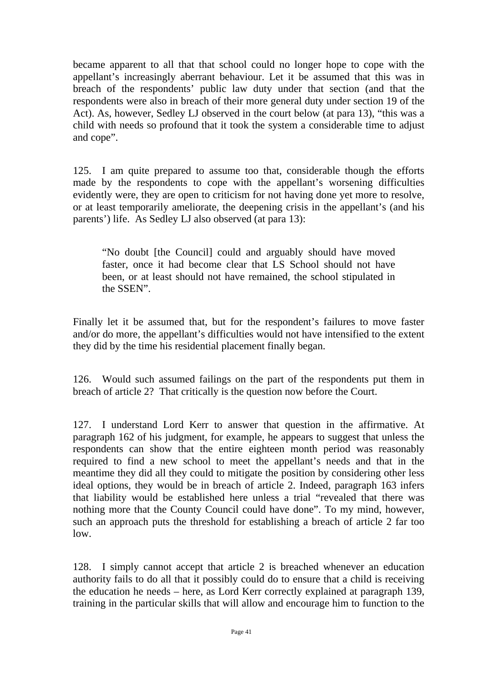became apparent to all that that school could no longer hope to cope with the appellant's increasingly aberrant behaviour. Let it be assumed that this was in breach of the respondents' public law duty under that section (and that the respondents were also in breach of their more general duty under section 19 of the Act). As, however, Sedley LJ observed in the court below (at para 13), "this was a child with needs so profound that it took the system a considerable time to adjust and cope".

125. I am quite prepared to assume too that, considerable though the efforts made by the respondents to cope with the appellant's worsening difficulties evidently were, they are open to criticism for not having done yet more to resolve, or at least temporarily ameliorate, the deepening crisis in the appellant's (and his parents') life. As Sedley LJ also observed (at para 13):

"No doubt [the Council] could and arguably should have moved faster, once it had become clear that LS School should not have been, or at least should not have remained, the school stipulated in the SSEN".

Finally let it be assumed that, but for the respondent's failures to move faster and/or do more, the appellant's difficulties would not have intensified to the extent they did by the time his residential placement finally began.

126. Would such assumed failings on the part of the respondents put them in breach of article 2? That critically is the question now before the Court.

127. I understand Lord Kerr to answer that question in the affirmative. At paragraph 162 of his judgment, for example, he appears to suggest that unless the respondents can show that the entire eighteen month period was reasonably required to find a new school to meet the appellant's needs and that in the meantime they did all they could to mitigate the position by considering other less ideal options, they would be in breach of article 2. Indeed, paragraph 163 infers that liability would be established here unless a trial "revealed that there was nothing more that the County Council could have done". To my mind, however, such an approach puts the threshold for establishing a breach of article 2 far too low.

128. I simply cannot accept that article 2 is breached whenever an education authority fails to do all that it possibly could do to ensure that a child is receiving the education he needs – here, as Lord Kerr correctly explained at paragraph 139, training in the particular skills that will allow and encourage him to function to the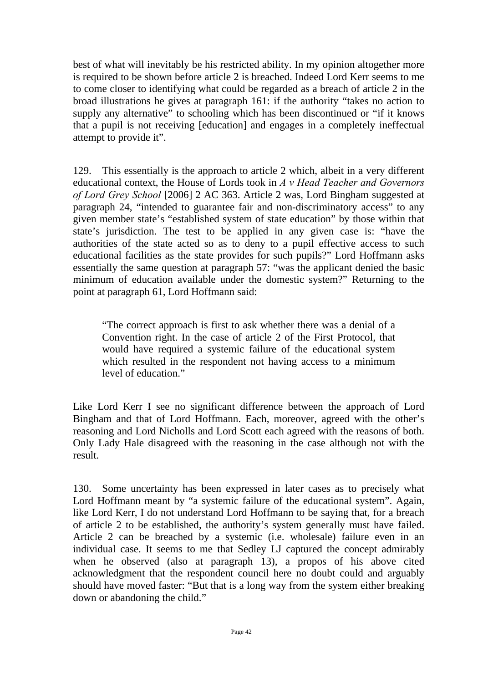best of what will inevitably be his restricted ability. In my opinion altogether more is required to be shown before article 2 is breached. Indeed Lord Kerr seems to me to come closer to identifying what could be regarded as a breach of article 2 in the broad illustrations he gives at paragraph 161: if the authority "takes no action to supply any alternative" to schooling which has been discontinued or "if it knows" that a pupil is not receiving [education] and engages in a completely ineffectual attempt to provide it".

129. This essentially is the approach to article 2 which, albeit in a very different educational context, the House of Lords took in *A v Head Teacher and Governors of Lord Grey School* [2006] 2 AC 363. Article 2 was, Lord Bingham suggested at paragraph 24, "intended to guarantee fair and non-discriminatory access" to any given member state's "established system of state education" by those within that state's jurisdiction. The test to be applied in any given case is: "have the authorities of the state acted so as to deny to a pupil effective access to such educational facilities as the state provides for such pupils?" Lord Hoffmann asks essentially the same question at paragraph 57: "was the applicant denied the basic minimum of education available under the domestic system?" Returning to the point at paragraph 61, Lord Hoffmann said:

"The correct approach is first to ask whether there was a denial of a Convention right. In the case of article 2 of the First Protocol, that would have required a systemic failure of the educational system which resulted in the respondent not having access to a minimum level of education."

Like Lord Kerr I see no significant difference between the approach of Lord Bingham and that of Lord Hoffmann. Each, moreover, agreed with the other's reasoning and Lord Nicholls and Lord Scott each agreed with the reasons of both. Only Lady Hale disagreed with the reasoning in the case although not with the result.

130. Some uncertainty has been expressed in later cases as to precisely what Lord Hoffmann meant by "a systemic failure of the educational system". Again, like Lord Kerr, I do not understand Lord Hoffmann to be saying that, for a breach of article 2 to be established, the authority's system generally must have failed. Article 2 can be breached by a systemic (i.e. wholesale) failure even in an individual case. It seems to me that Sedley LJ captured the concept admirably when he observed (also at paragraph 13), a propos of his above cited acknowledgment that the respondent council here no doubt could and arguably should have moved faster: "But that is a long way from the system either breaking down or abandoning the child."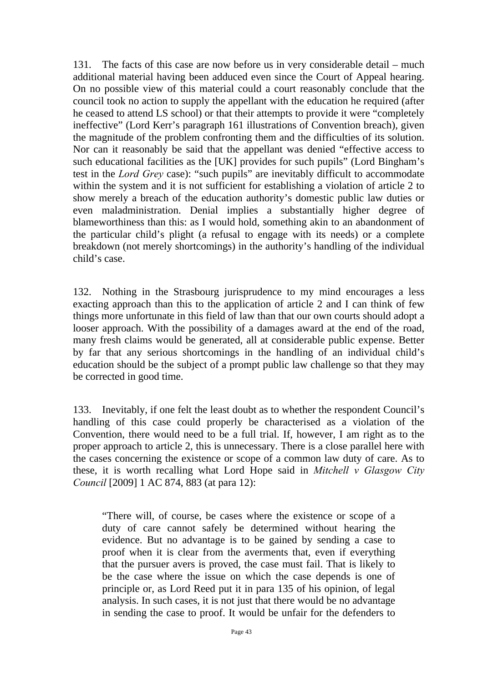131. The facts of this case are now before us in very considerable detail – much additional material having been adduced even since the Court of Appeal hearing. On no possible view of this material could a court reasonably conclude that the council took no action to supply the appellant with the education he required (after he ceased to attend LS school) or that their attempts to provide it were "completely ineffective" (Lord Kerr's paragraph 161 illustrations of Convention breach), given the magnitude of the problem confronting them and the difficulties of its solution. Nor can it reasonably be said that the appellant was denied "effective access to such educational facilities as the [UK] provides for such pupils" (Lord Bingham's test in the *Lord Grey* case): "such pupils" are inevitably difficult to accommodate within the system and it is not sufficient for establishing a violation of article 2 to show merely a breach of the education authority's domestic public law duties or even maladministration. Denial implies a substantially higher degree of blameworthiness than this: as I would hold, something akin to an abandonment of the particular child's plight (a refusal to engage with its needs) or a complete breakdown (not merely shortcomings) in the authority's handling of the individual child's case.

132. Nothing in the Strasbourg jurisprudence to my mind encourages a less exacting approach than this to the application of article 2 and I can think of few things more unfortunate in this field of law than that our own courts should adopt a looser approach. With the possibility of a damages award at the end of the road, many fresh claims would be generated, all at considerable public expense. Better by far that any serious shortcomings in the handling of an individual child's education should be the subject of a prompt public law challenge so that they may be corrected in good time.

133. Inevitably, if one felt the least doubt as to whether the respondent Council's handling of this case could properly be characterised as a violation of the Convention, there would need to be a full trial. If, however, I am right as to the proper approach to article 2, this is unnecessary. There is a close parallel here with the cases concerning the existence or scope of a common law duty of care. As to these, it is worth recalling what Lord Hope said in *Mitchell v Glasgow City Council* [2009] 1 AC 874, 883 (at para 12):

"There will, of course, be cases where the existence or scope of a duty of care cannot safely be determined without hearing the evidence. But no advantage is to be gained by sending a case to proof when it is clear from the averments that, even if everything that the pursuer avers is proved, the case must fail. That is likely to be the case where the issue on which the case depends is one of principle or, as Lord Reed put it in para 135 of his opinion, of legal analysis. In such cases, it is not just that there would be no advantage in sending the case to proof. It would be unfair for the defenders to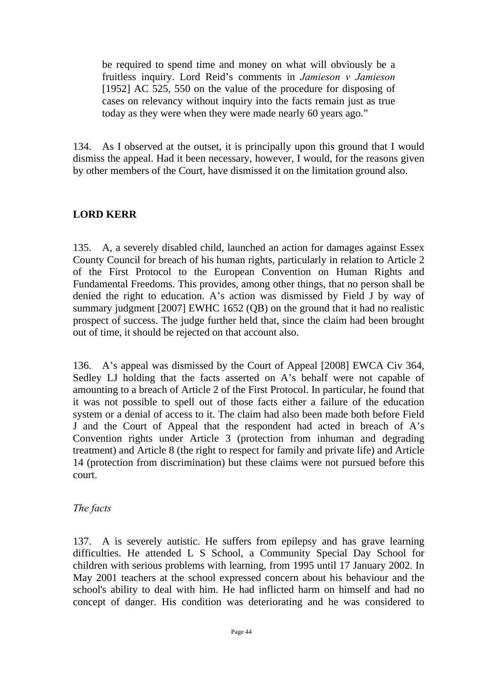be required to spend time and money on what will obviously be a fruitless inquiry. Lord Reid's comments in *Jamieson v Jamieson*  [1952] AC 525, 550 on the value of the procedure for disposing of cases on relevancy without inquiry into the facts remain just as true today as they were when they were made nearly 60 years ago."

134. As I observed at the outset, it is principally upon this ground that I would dismiss the appeal. Had it been necessary, however, I would, for the reasons given by other members of the Court, have dismissed it on the limitation ground also.

# **LORD KERR**

135. A, a severely disabled child, launched an action for damages against Essex County Council for breach of his human rights, particularly in relation to Article 2 of the First Protocol to the European Convention on Human Rights and Fundamental Freedoms. This provides, among other things, that no person shall be denied the right to education. A's action was dismissed by Field J by way of summary judgment [2007] EWHC 1652 (QB) on the ground that it had no realistic prospect of success. The judge further held that, since the claim had been brought out of time, it should be rejected on that account also.

136. A's appeal was dismissed by the Court of Appeal [2008] EWCA Civ 364, Sedley LJ holding that the facts asserted on A's behalf were not capable of amounting to a breach of Article 2 of the First Protocol. In particular, he found that it was not possible to spell out of those facts either a failure of the education system or a denial of access to it. The claim had also been made both before Field J and the Court of Appeal that the respondent had acted in breach of A's Convention rights under Article 3 (protection from inhuman and degrading treatment) and Article 8 (the right to respect for family and private life) and Article 14 (protection from discrimination) but these claims were not pursued before this court.

# *The facts*

137. A is severely autistic. He suffers from epilepsy and has grave learning difficulties. He attended L S School, a Community Special Day School for children with serious problems with learning, from 1995 until 17 January 2002. In May 2001 teachers at the school expressed concern about his behaviour and the school's ability to deal with him. He had inflicted harm on himself and had no concept of danger. His condition was deteriorating and he was considered to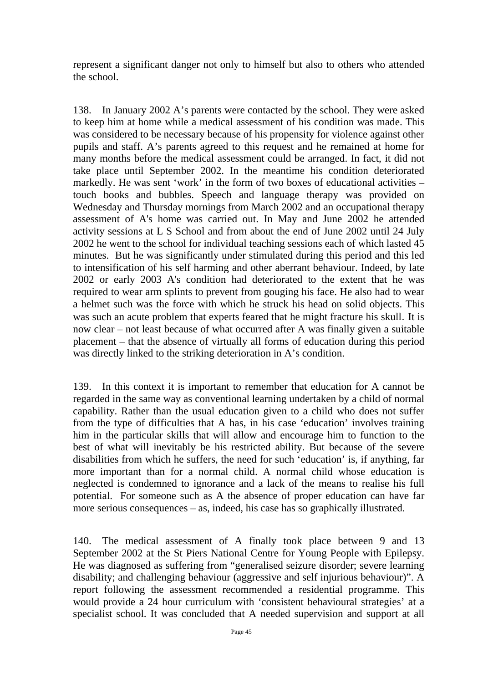represent a significant danger not only to himself but also to others who attended the school.

138. In January 2002 A's parents were contacted by the school. They were asked to keep him at home while a medical assessment of his condition was made. This was considered to be necessary because of his propensity for violence against other pupils and staff. A's parents agreed to this request and he remained at home for many months before the medical assessment could be arranged. In fact, it did not take place until September 2002. In the meantime his condition deteriorated markedly. He was sent 'work' in the form of two boxes of educational activities – touch books and bubbles. Speech and language therapy was provided on Wednesday and Thursday mornings from March 2002 and an occupational therapy assessment of A's home was carried out. In May and June 2002 he attended activity sessions at L S School and from about the end of June 2002 until 24 July 2002 he went to the school for individual teaching sessions each of which lasted 45 minutes. But he was significantly under stimulated during this period and this led to intensification of his self harming and other aberrant behaviour. Indeed, by late 2002 or early 2003 A's condition had deteriorated to the extent that he was required to wear arm splints to prevent from gouging his face. He also had to wear a helmet such was the force with which he struck his head on solid objects. This was such an acute problem that experts feared that he might fracture his skull. It is now clear – not least because of what occurred after A was finally given a suitable placement – that the absence of virtually all forms of education during this period was directly linked to the striking deterioration in A's condition.

139. In this context it is important to remember that education for A cannot be regarded in the same way as conventional learning undertaken by a child of normal capability. Rather than the usual education given to a child who does not suffer from the type of difficulties that A has, in his case 'education' involves training him in the particular skills that will allow and encourage him to function to the best of what will inevitably be his restricted ability. But because of the severe disabilities from which he suffers, the need for such 'education' is, if anything, far more important than for a normal child. A normal child whose education is neglected is condemned to ignorance and a lack of the means to realise his full potential. For someone such as A the absence of proper education can have far more serious consequences – as, indeed, his case has so graphically illustrated.

140. The medical assessment of A finally took place between 9 and 13 September 2002 at the St Piers National Centre for Young People with Epilepsy. He was diagnosed as suffering from "generalised seizure disorder; severe learning disability; and challenging behaviour (aggressive and self injurious behaviour)". A report following the assessment recommended a residential programme. This would provide a 24 hour curriculum with 'consistent behavioural strategies' at a specialist school. It was concluded that A needed supervision and support at all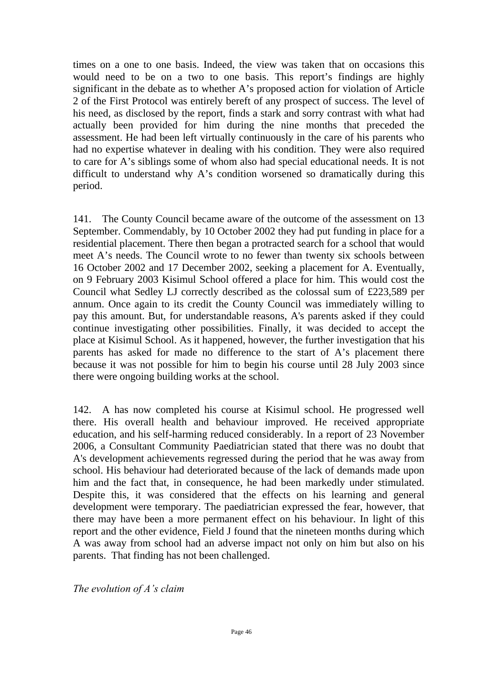times on a one to one basis. Indeed, the view was taken that on occasions this would need to be on a two to one basis. This report's findings are highly significant in the debate as to whether A's proposed action for violation of Article 2 of the First Protocol was entirely bereft of any prospect of success. The level of his need, as disclosed by the report, finds a stark and sorry contrast with what had actually been provided for him during the nine months that preceded the assessment. He had been left virtually continuously in the care of his parents who had no expertise whatever in dealing with his condition. They were also required to care for A's siblings some of whom also had special educational needs. It is not difficult to understand why A's condition worsened so dramatically during this period.

141. The County Council became aware of the outcome of the assessment on 13 September. Commendably, by 10 October 2002 they had put funding in place for a residential placement. There then began a protracted search for a school that would meet A's needs. The Council wrote to no fewer than twenty six schools between 16 October 2002 and 17 December 2002, seeking a placement for A. Eventually, on 9 February 2003 Kisimul School offered a place for him. This would cost the Council what Sedley LJ correctly described as the colossal sum of £223,589 per annum. Once again to its credit the County Council was immediately willing to pay this amount. But, for understandable reasons, A's parents asked if they could continue investigating other possibilities. Finally, it was decided to accept the place at Kisimul School. As it happened, however, the further investigation that his parents has asked for made no difference to the start of A's placement there because it was not possible for him to begin his course until 28 July 2003 since there were ongoing building works at the school.

142. A has now completed his course at Kisimul school. He progressed well there. His overall health and behaviour improved. He received appropriate education, and his self-harming reduced considerably. In a report of 23 November 2006, a Consultant Community Paediatrician stated that there was no doubt that A's development achievements regressed during the period that he was away from school. His behaviour had deteriorated because of the lack of demands made upon him and the fact that, in consequence, he had been markedly under stimulated. Despite this, it was considered that the effects on his learning and general development were temporary. The paediatrician expressed the fear, however, that there may have been a more permanent effect on his behaviour. In light of this report and the other evidence, Field J found that the nineteen months during which A was away from school had an adverse impact not only on him but also on his parents. That finding has not been challenged.

*The evolution of A's claim*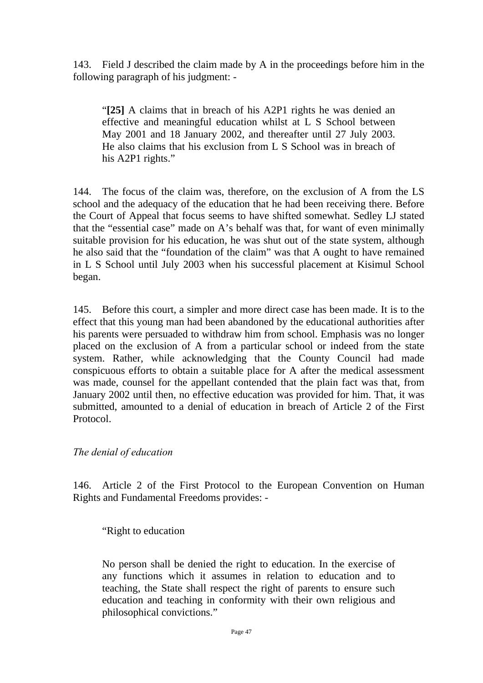143. Field J described the claim made by A in the proceedings before him in the following paragraph of his judgment: -

"**[25]** A claims that in breach of his A2P1 rights he was denied an effective and meaningful education whilst at L S School between May 2001 and 18 January 2002, and thereafter until 27 July 2003. He also claims that his exclusion from L S School was in breach of his A2P1 rights."

144. The focus of the claim was, therefore, on the exclusion of A from the LS school and the adequacy of the education that he had been receiving there. Before the Court of Appeal that focus seems to have shifted somewhat. Sedley LJ stated that the "essential case" made on A's behalf was that, for want of even minimally suitable provision for his education, he was shut out of the state system, although he also said that the "foundation of the claim" was that A ought to have remained in L S School until July 2003 when his successful placement at Kisimul School began.

145. Before this court, a simpler and more direct case has been made. It is to the effect that this young man had been abandoned by the educational authorities after his parents were persuaded to withdraw him from school. Emphasis was no longer placed on the exclusion of A from a particular school or indeed from the state system. Rather, while acknowledging that the County Council had made conspicuous efforts to obtain a suitable place for A after the medical assessment was made, counsel for the appellant contended that the plain fact was that, from January 2002 until then, no effective education was provided for him. That, it was submitted, amounted to a denial of education in breach of Article 2 of the First Protocol.

#### *The denial of education*

146. Article 2 of the First Protocol to the European Convention on Human Rights and Fundamental Freedoms provides: -

"Right to education

No person shall be denied the right to education. In the exercise of any functions which it assumes in relation to education and to teaching, the State shall respect the right of parents to ensure such education and teaching in conformity with their own religious and philosophical convictions."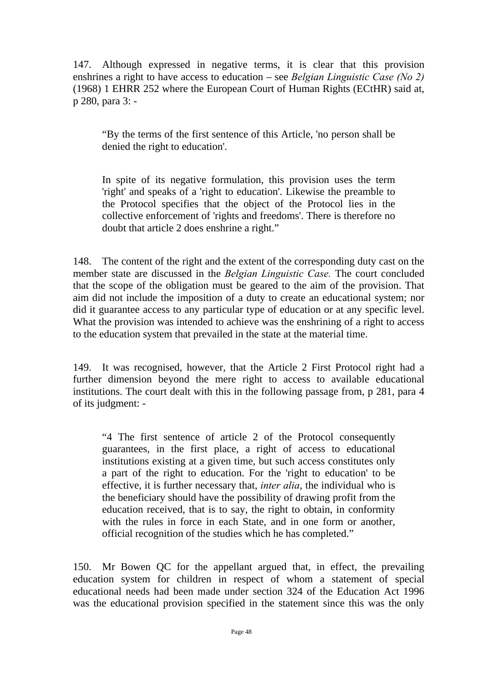147. Although expressed in negative terms, it is clear that this provision enshrines a right to have access to education – see *Belgian Linguistic Case (No 2)* (1968) 1 EHRR 252 where the European Court of Human Rights (ECtHR) said at, p 280, para 3: -

"By the terms of the first sentence of this Article, 'no person shall be denied the right to education'.

In spite of its negative formulation, this provision uses the term 'right' and speaks of a 'right to education'. Likewise the preamble to the Protocol specifies that the object of the Protocol lies in the collective enforcement of 'rights and freedoms'. There is therefore no doubt that article 2 does enshrine a right."

148. The content of the right and the extent of the corresponding duty cast on the member state are discussed in the *Belgian Linguistic Case.* The court concluded that the scope of the obligation must be geared to the aim of the provision. That aim did not include the imposition of a duty to create an educational system; nor did it guarantee access to any particular type of education or at any specific level. What the provision was intended to achieve was the enshrining of a right to access to the education system that prevailed in the state at the material time.

149. It was recognised, however, that the Article 2 First Protocol right had a further dimension beyond the mere right to access to available educational institutions. The court dealt with this in the following passage from, p 281, para 4 of its judgment: -

"4 The first sentence of article 2 of the Protocol consequently guarantees, in the first place, a right of access to educational institutions existing at a given time, but such access constitutes only a part of the right to education. For the 'right to education' to be effective, it is further necessary that, *inter alia*, the individual who is the beneficiary should have the possibility of drawing profit from the education received, that is to say, the right to obtain, in conformity with the rules in force in each State, and in one form or another, official recognition of the studies which he has completed."

150. Mr Bowen QC for the appellant argued that, in effect, the prevailing education system for children in respect of whom a statement of special educational needs had been made under section 324 of the Education Act 1996 was the educational provision specified in the statement since this was the only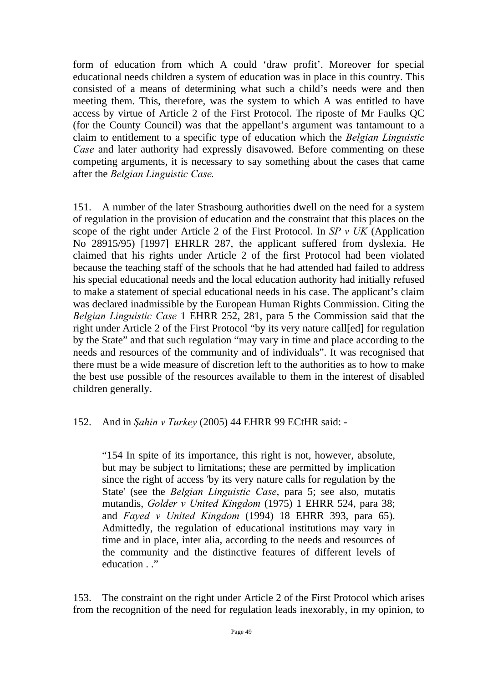form of education from which A could 'draw profit'. Moreover for special educational needs children a system of education was in place in this country. This consisted of a means of determining what such a child's needs were and then meeting them. This, therefore, was the system to which A was entitled to have access by virtue of Article 2 of the First Protocol. The riposte of Mr Faulks QC (for the County Council) was that the appellant's argument was tantamount to a claim to entitlement to a specific type of education which the *Belgian Linguistic Case* and later authority had expressly disavowed. Before commenting on these competing arguments, it is necessary to say something about the cases that came after the *Belgian Linguistic Case.*

151. A number of the later Strasbourg authorities dwell on the need for a system of regulation in the provision of education and the constraint that this places on the scope of the right under Article 2 of the First Protocol. In *SP v UK* (Application No 28915/95) [1997] EHRLR 287, the applicant suffered from dyslexia. He claimed that his rights under Article 2 of the first Protocol had been violated because the teaching staff of the schools that he had attended had failed to address his special educational needs and the local education authority had initially refused to make a statement of special educational needs in his case. The applicant's claim was declared inadmissible by the European Human Rights Commission. Citing the *Belgian Linguistic Case* 1 EHRR 252, 281, para 5 the Commission said that the right under Article 2 of the First Protocol "by its very nature call[ed] for regulation by the State" and that such regulation "may vary in time and place according to the needs and resources of the community and of individuals". It was recognised that there must be a wide measure of discretion left to the authorities as to how to make the best use possible of the resources available to them in the interest of disabled children generally.

#### 152. And in *Şahin v Turkey* (2005) 44 EHRR 99 ECtHR said: -

"154 In spite of its importance, this right is not, however, absolute, but may be subject to limitations; these are permitted by implication since the right of access 'by its very nature calls for regulation by the State' (see the *Belgian Linguistic Case*, para 5; see also, mutatis mutandis, *Golder v United Kingdom* (1975) 1 EHRR 524, para 38; and *Fayed v United Kingdom* (1994) 18 EHRR 393, para 65). Admittedly, the regulation of educational institutions may vary in time and in place, inter alia, according to the needs and resources of the community and the distinctive features of different levels of education . ."

153. The constraint on the right under Article 2 of the First Protocol which arises from the recognition of the need for regulation leads inexorably, in my opinion, to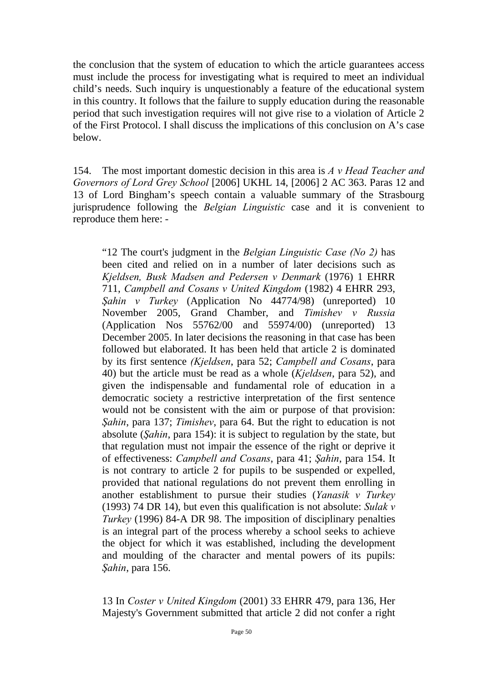the conclusion that the system of education to which the article guarantees access must include the process for investigating what is required to meet an individual child's needs. Such inquiry is unquestionably a feature of the educational system in this country. It follows that the failure to supply education during the reasonable period that such investigation requires will not give rise to a violation of Article 2 of the First Protocol. I shall discuss the implications of this conclusion on A's case below.

154. The most important domestic decision in this area is *A v Head Teacher and Governors of Lord Grey School* [2006] UKHL 14, [2006] 2 AC 363. Paras 12 and 13 of Lord Bingham's speech contain a valuable summary of the Strasbourg jurisprudence following the *Belgian Linguistic* case and it is convenient to reproduce them here: -

"12 The court's judgment in the *Belgian Linguistic Case (No 2)* has been cited and relied on in a number of later decisions such as *Kjeldsen, Busk Madsen and Pedersen v Denmark* (1976) 1 EHRR 711, *Campbell and Cosans v United Kingdom* (1982) 4 EHRR 293, *Şahin v Turkey* (Application No 44774/98) (unreported) 10 November 2005, Grand Chamber, and *Timishev v Russia* (Application Nos 55762/00 and 55974/00) (unreported) 13 December 2005. In later decisions the reasoning in that case has been followed but elaborated. It has been held that article 2 is dominated by its first sentence *(Kjeldsen*, para 52; *Campbell and Cosans*, para 40) but the article must be read as a whole (*Kjeldsen*, para 52), and given the indispensable and fundamental role of education in a democratic society a restrictive interpretation of the first sentence would not be consistent with the aim or purpose of that provision: *Şahin*, para 137; *Timishev*, para 64. But the right to education is not absolute (*Şahin*, para 154): it is subject to regulation by the state, but that regulation must not impair the essence of the right or deprive it of effectiveness: *Campbell and Cosans*, para 41; *Şahin*, para 154. It is not contrary to article 2 for pupils to be suspended or expelled, provided that national regulations do not prevent them enrolling in another establishment to pursue their studies (*Yanasik v Turkey* (1993) 74 DR 14), but even this qualification is not absolute: *Sulak v Turkey* (1996) 84-A DR 98. The imposition of disciplinary penalties is an integral part of the process whereby a school seeks to achieve the object for which it was established, including the development and moulding of the character and mental powers of its pupils: *Şahin*, para 156.

13 In *Coster v United Kingdom* (2001) 33 EHRR 479, para 136, Her Majesty's Government submitted that article 2 did not confer a right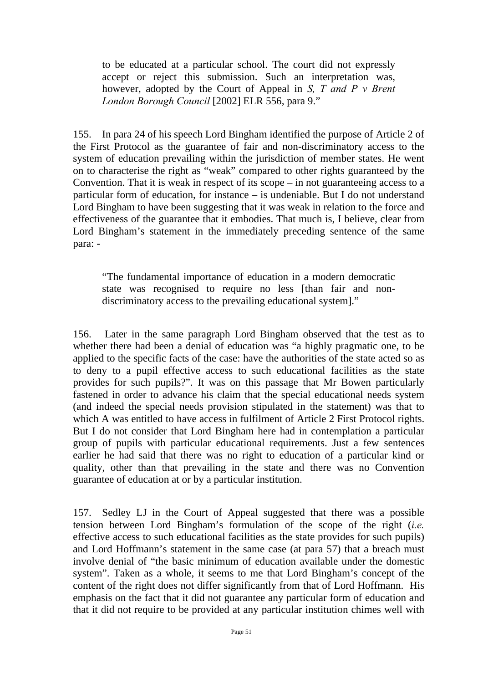to be educated at a particular school. The court did not expressly accept or reject this submission. Such an interpretation was, however, adopted by the Court of Appeal in *S, T and P v Brent London Borough Council* [2002] ELR 556, para 9."

155. In para 24 of his speech Lord Bingham identified the purpose of Article 2 of the First Protocol as the guarantee of fair and non-discriminatory access to the system of education prevailing within the jurisdiction of member states. He went on to characterise the right as "weak" compared to other rights guaranteed by the Convention. That it is weak in respect of its scope – in not guaranteeing access to a particular form of education, for instance – is undeniable. But I do not understand Lord Bingham to have been suggesting that it was weak in relation to the force and effectiveness of the guarantee that it embodies. That much is, I believe, clear from Lord Bingham's statement in the immediately preceding sentence of the same para: -

"The fundamental importance of education in a modern democratic state was recognised to require no less [than fair and nondiscriminatory access to the prevailing educational system]."

156. Later in the same paragraph Lord Bingham observed that the test as to whether there had been a denial of education was "a highly pragmatic one, to be applied to the specific facts of the case: have the authorities of the state acted so as to deny to a pupil effective access to such educational facilities as the state provides for such pupils?". It was on this passage that Mr Bowen particularly fastened in order to advance his claim that the special educational needs system (and indeed the special needs provision stipulated in the statement) was that to which A was entitled to have access in fulfilment of Article 2 First Protocol rights. But I do not consider that Lord Bingham here had in contemplation a particular group of pupils with particular educational requirements. Just a few sentences earlier he had said that there was no right to education of a particular kind or quality, other than that prevailing in the state and there was no Convention guarantee of education at or by a particular institution.

157. Sedley LJ in the Court of Appeal suggested that there was a possible tension between Lord Bingham's formulation of the scope of the right (*i.e.* effective access to such educational facilities as the state provides for such pupils) and Lord Hoffmann's statement in the same case (at para 57) that a breach must involve denial of "the basic minimum of education available under the domestic system". Taken as a whole, it seems to me that Lord Bingham's concept of the content of the right does not differ significantly from that of Lord Hoffmann. His emphasis on the fact that it did not guarantee any particular form of education and that it did not require to be provided at any particular institution chimes well with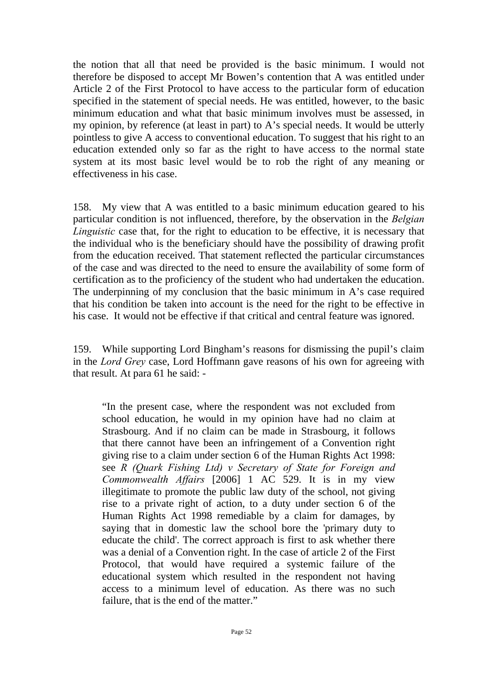the notion that all that need be provided is the basic minimum. I would not therefore be disposed to accept Mr Bowen's contention that A was entitled under Article 2 of the First Protocol to have access to the particular form of education specified in the statement of special needs. He was entitled, however, to the basic minimum education and what that basic minimum involves must be assessed, in my opinion, by reference (at least in part) to A's special needs. It would be utterly pointless to give A access to conventional education. To suggest that his right to an education extended only so far as the right to have access to the normal state system at its most basic level would be to rob the right of any meaning or effectiveness in his case.

158. My view that A was entitled to a basic minimum education geared to his particular condition is not influenced, therefore, by the observation in the *Belgian Linguistic* case that, for the right to education to be effective, it is necessary that the individual who is the beneficiary should have the possibility of drawing profit from the education received. That statement reflected the particular circumstances of the case and was directed to the need to ensure the availability of some form of certification as to the proficiency of the student who had undertaken the education. The underpinning of my conclusion that the basic minimum in A's case required that his condition be taken into account is the need for the right to be effective in his case. It would not be effective if that critical and central feature was ignored.

159. While supporting Lord Bingham's reasons for dismissing the pupil's claim in the *Lord Grey* case, Lord Hoffmann gave reasons of his own for agreeing with that result. At para 61 he said: -

"In the present case, where the respondent was not excluded from school education, he would in my opinion have had no claim at Strasbourg. And if no claim can be made in Strasbourg, it follows that there cannot have been an infringement of a Convention right giving rise to a claim under section 6 of the Human Rights Act 1998: see *R (Quark Fishing Ltd) v Secretary of State for Foreign and Commonwealth Affairs* [2006] 1 AC 529. It is in my view illegitimate to promote the public law duty of the school, not giving rise to a private right of action, to a duty under section 6 of the Human Rights Act 1998 remediable by a claim for damages, by saying that in domestic law the school bore the 'primary duty to educate the child'. The correct approach is first to ask whether there was a denial of a Convention right. In the case of article 2 of the First Protocol, that would have required a systemic failure of the educational system which resulted in the respondent not having access to a minimum level of education. As there was no such failure, that is the end of the matter."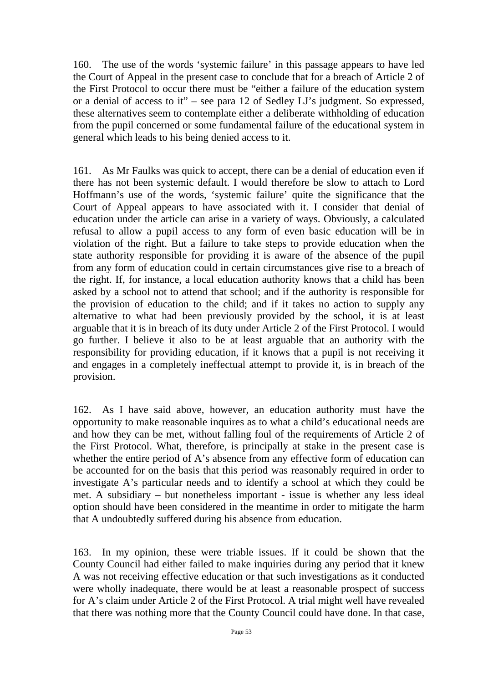160. The use of the words 'systemic failure' in this passage appears to have led the Court of Appeal in the present case to conclude that for a breach of Article 2 of the First Protocol to occur there must be "either a failure of the education system or a denial of access to it" – see para 12 of Sedley LJ's judgment. So expressed, these alternatives seem to contemplate either a deliberate withholding of education from the pupil concerned or some fundamental failure of the educational system in general which leads to his being denied access to it.

161. As Mr Faulks was quick to accept, there can be a denial of education even if there has not been systemic default. I would therefore be slow to attach to Lord Hoffmann's use of the words, 'systemic failure' quite the significance that the Court of Appeal appears to have associated with it. I consider that denial of education under the article can arise in a variety of ways. Obviously, a calculated refusal to allow a pupil access to any form of even basic education will be in violation of the right. But a failure to take steps to provide education when the state authority responsible for providing it is aware of the absence of the pupil from any form of education could in certain circumstances give rise to a breach of the right. If, for instance, a local education authority knows that a child has been asked by a school not to attend that school; and if the authority is responsible for the provision of education to the child; and if it takes no action to supply any alternative to what had been previously provided by the school, it is at least arguable that it is in breach of its duty under Article 2 of the First Protocol. I would go further. I believe it also to be at least arguable that an authority with the responsibility for providing education, if it knows that a pupil is not receiving it and engages in a completely ineffectual attempt to provide it, is in breach of the provision.

162. As I have said above, however, an education authority must have the opportunity to make reasonable inquires as to what a child's educational needs are and how they can be met, without falling foul of the requirements of Article 2 of the First Protocol. What, therefore, is principally at stake in the present case is whether the entire period of A's absence from any effective form of education can be accounted for on the basis that this period was reasonably required in order to investigate A's particular needs and to identify a school at which they could be met. A subsidiary – but nonetheless important - issue is whether any less ideal option should have been considered in the meantime in order to mitigate the harm that A undoubtedly suffered during his absence from education.

163. In my opinion, these were triable issues. If it could be shown that the County Council had either failed to make inquiries during any period that it knew A was not receiving effective education or that such investigations as it conducted were wholly inadequate, there would be at least a reasonable prospect of success for A's claim under Article 2 of the First Protocol. A trial might well have revealed that there was nothing more that the County Council could have done. In that case,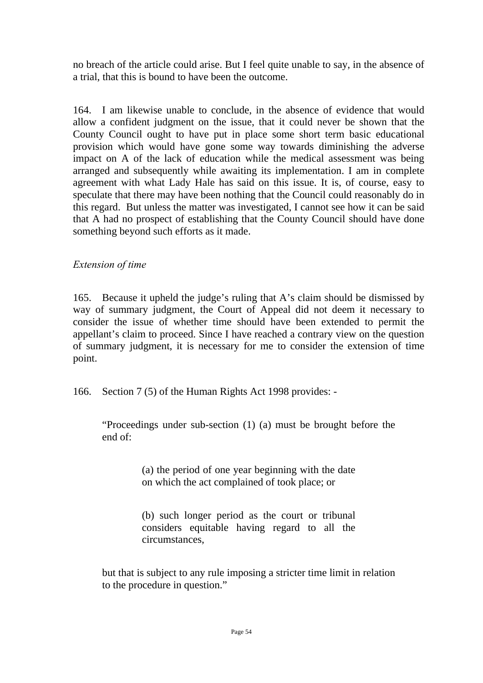no breach of the article could arise. But I feel quite unable to say, in the absence of a trial, that this is bound to have been the outcome.

164. I am likewise unable to conclude, in the absence of evidence that would allow a confident judgment on the issue, that it could never be shown that the County Council ought to have put in place some short term basic educational provision which would have gone some way towards diminishing the adverse impact on A of the lack of education while the medical assessment was being arranged and subsequently while awaiting its implementation. I am in complete agreement with what Lady Hale has said on this issue. It is, of course, easy to speculate that there may have been nothing that the Council could reasonably do in this regard. But unless the matter was investigated, I cannot see how it can be said that A had no prospect of establishing that the County Council should have done something beyond such efforts as it made.

#### *Extension of time*

165. Because it upheld the judge's ruling that A's claim should be dismissed by way of summary judgment, the Court of Appeal did not deem it necessary to consider the issue of whether time should have been extended to permit the appellant's claim to proceed. Since I have reached a contrary view on the question of summary judgment, it is necessary for me to consider the extension of time point.

166. Section 7 (5) of the Human Rights Act 1998 provides: -

"Proceedings under sub-section (1) (a) must be brought before the end of:

> (a) the period of one year beginning with the date on which the act complained of took place; or

> (b) such longer period as the court or tribunal considers equitable having regard to all the circumstances,

but that is subject to any rule imposing a stricter time limit in relation to the procedure in question."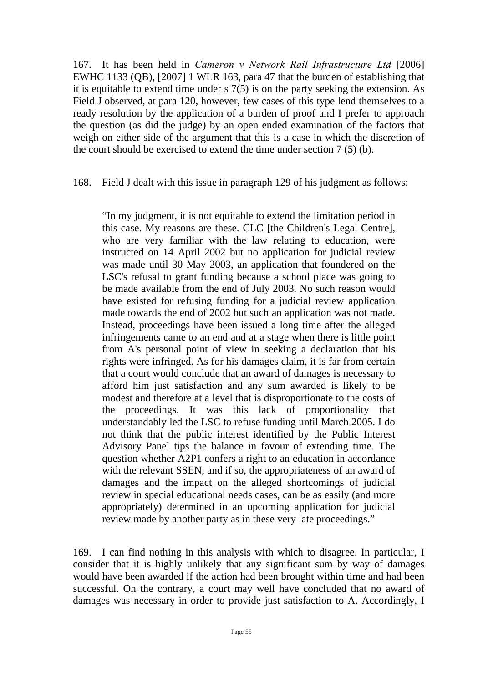167. It has been held in *Cameron v Network Rail Infrastructure Ltd* [2006] EWHC 1133 (QB), [2007] 1 WLR 163, para 47 that the burden of establishing that it is equitable to extend time under s 7(5) is on the party seeking the extension. As Field J observed, at para 120, however, few cases of this type lend themselves to a ready resolution by the application of a burden of proof and I prefer to approach the question (as did the judge) by an open ended examination of the factors that weigh on either side of the argument that this is a case in which the discretion of the court should be exercised to extend the time under section 7 (5) (b).

168. Field J dealt with this issue in paragraph 129 of his judgment as follows:

"In my judgment, it is not equitable to extend the limitation period in this case. My reasons are these. CLC [the Children's Legal Centre], who are very familiar with the law relating to education, were instructed on 14 April 2002 but no application for judicial review was made until 30 May 2003, an application that foundered on the LSC's refusal to grant funding because a school place was going to be made available from the end of July 2003. No such reason would have existed for refusing funding for a judicial review application made towards the end of 2002 but such an application was not made. Instead, proceedings have been issued a long time after the alleged infringements came to an end and at a stage when there is little point from A's personal point of view in seeking a declaration that his rights were infringed. As for his damages claim, it is far from certain that a court would conclude that an award of damages is necessary to afford him just satisfaction and any sum awarded is likely to be modest and therefore at a level that is disproportionate to the costs of the proceedings. It was this lack of proportionality that understandably led the LSC to refuse funding until March 2005. I do not think that the public interest identified by the Public Interest Advisory Panel tips the balance in favour of extending time. The question whether A2P1 confers a right to an education in accordance with the relevant SSEN, and if so, the appropriateness of an award of damages and the impact on the alleged shortcomings of judicial review in special educational needs cases, can be as easily (and more appropriately) determined in an upcoming application for judicial review made by another party as in these very late proceedings."

169. I can find nothing in this analysis with which to disagree. In particular, I consider that it is highly unlikely that any significant sum by way of damages would have been awarded if the action had been brought within time and had been successful. On the contrary, a court may well have concluded that no award of damages was necessary in order to provide just satisfaction to A. Accordingly, I